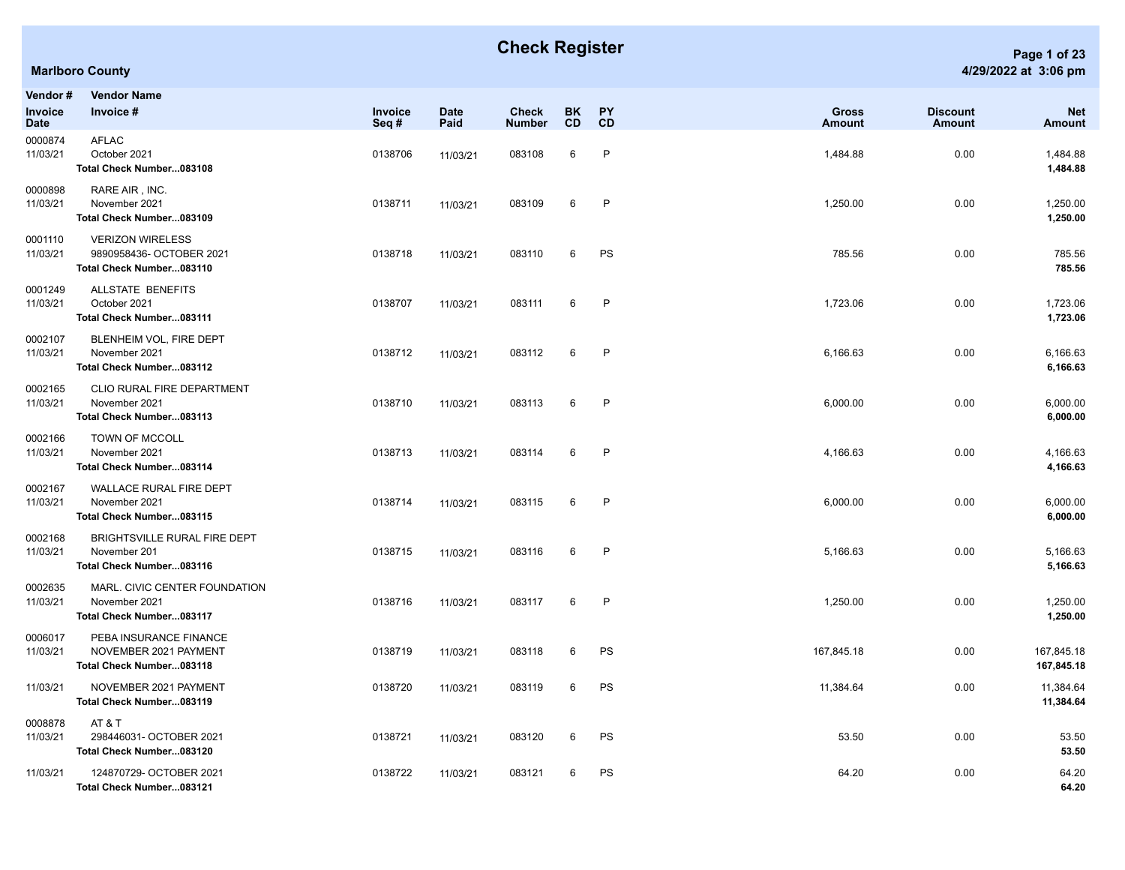## **Check Register Page 1 of 23**

| Vendor#                | <b>Vendor Name</b>                                                              |                 |                     |                               |          |                 |                        |                                  |                             |
|------------------------|---------------------------------------------------------------------------------|-----------------|---------------------|-------------------------------|----------|-----------------|------------------------|----------------------------------|-----------------------------|
| Invoice<br><b>Date</b> | Invoice #                                                                       | Invoice<br>Seq# | <b>Date</b><br>Paid | <b>Check</b><br><b>Number</b> | BK<br>CD | <b>PY</b><br>CD | <b>Gross</b><br>Amount | <b>Discount</b><br><b>Amount</b> | <b>Net</b><br><b>Amount</b> |
| 0000874<br>11/03/21    | <b>AFLAC</b><br>October 2021<br>Total Check Number083108                        | 0138706         | 11/03/21            | 083108                        | 6        | $\mathsf{P}$    | 1,484.88               | 0.00                             | 1,484.88<br>1,484.88        |
| 0000898<br>11/03/21    | RARE AIR, INC.<br>November 2021<br>Total Check Number083109                     | 0138711         | 11/03/21            | 083109                        | 6        | $\mathsf{P}$    | 1,250.00               | 0.00                             | 1,250.00<br>1,250.00        |
| 0001110<br>11/03/21    | <b>VERIZON WIRELESS</b><br>9890958436- OCTOBER 2021<br>Total Check Number083110 | 0138718         | 11/03/21            | 083110                        | 6        | PS              | 785.56                 | 0.00                             | 785.56<br>785.56            |
| 0001249<br>11/03/21    | ALLSTATE BENEFITS<br>October 2021<br>Total Check Number083111                   | 0138707         | 11/03/21            | 083111                        | 6        | P               | 1,723.06               | 0.00                             | 1,723.06<br>1,723.06        |
| 0002107<br>11/03/21    | BLENHEIM VOL, FIRE DEPT<br>November 2021<br>Total Check Number083112            | 0138712         | 11/03/21            | 083112                        | 6        | $\mathsf{P}$    | 6,166.63               | 0.00                             | 6,166.63<br>6,166.63        |
| 0002165<br>11/03/21    | CLIO RURAL FIRE DEPARTMENT<br>November 2021<br>Total Check Number083113         | 0138710         | 11/03/21            | 083113                        | 6        | $\mathsf{P}$    | 6,000.00               | 0.00                             | 6,000.00<br>6,000.00        |
| 0002166<br>11/03/21    | TOWN OF MCCOLL<br>November 2021<br>Total Check Number083114                     | 0138713         | 11/03/21            | 083114                        | 6        | P               | 4,166.63               | 0.00                             | 4,166.63<br>4,166.63        |
| 0002167<br>11/03/21    | WALLACE RURAL FIRE DEPT<br>November 2021<br>Total Check Number083115            | 0138714         | 11/03/21            | 083115                        | 6        | P               | 6,000.00               | 0.00                             | 6,000.00<br>6,000.00        |
| 0002168<br>11/03/21    | BRIGHTSVILLE RURAL FIRE DEPT<br>November 201<br>Total Check Number083116        | 0138715         | 11/03/21            | 083116                        | 6        | $\mathsf{P}$    | 5,166.63               | 0.00                             | 5,166.63<br>5,166.63        |
| 0002635<br>11/03/21    | MARL. CIVIC CENTER FOUNDATION<br>November 2021<br>Total Check Number083117      | 0138716         | 11/03/21            | 083117                        | 6        | $\mathsf{P}$    | 1,250.00               | 0.00                             | 1,250.00<br>1,250.00        |
| 0006017<br>11/03/21    | PEBA INSURANCE FINANCE<br>NOVEMBER 2021 PAYMENT<br>Total Check Number083118     | 0138719         | 11/03/21            | 083118                        | 6        | PS              | 167,845.18             | 0.00                             | 167,845.18<br>167,845.18    |
| 11/03/21               | NOVEMBER 2021 PAYMENT<br>Total Check Number083119                               | 0138720         | 11/03/21            | 083119                        | 6        | PS              | 11,384.64              | 0.00                             | 11,384.64<br>11,384.64      |
| 0008878<br>11/03/21    | AT&T<br>298446031- OCTOBER 2021<br>Total Check Number083120                     | 0138721         | 11/03/21            | 083120                        | 6        | PS              | 53.50                  | 0.00                             | 53.50<br>53.50              |
| 11/03/21               | 124870729- OCTOBER 2021<br>Total Check Number083121                             | 0138722         | 11/03/21            | 083121                        | 6        | PS              | 64.20                  | 0.00                             | 64.20<br>64.20              |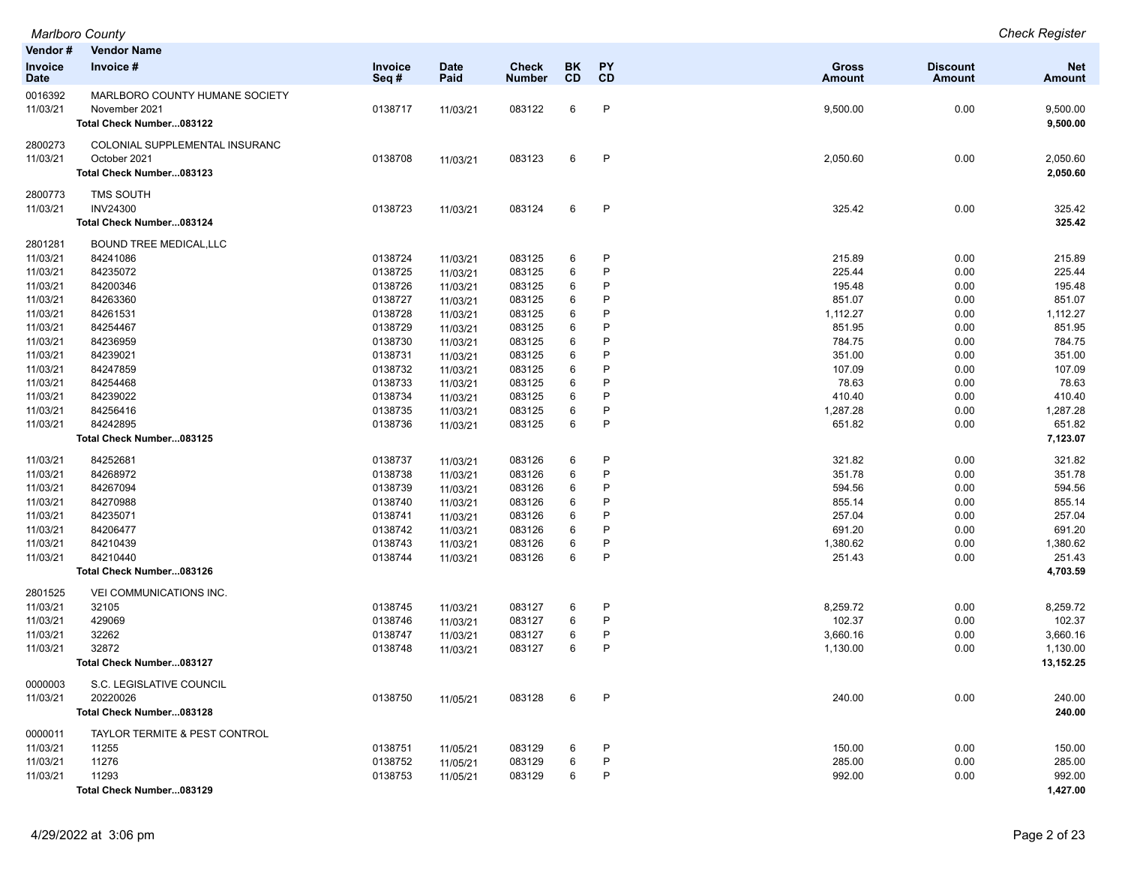| Vendor#                | <b>Vendor Name</b>                   |                    |                      |                               |                 |                 |                        |                                  |                       |
|------------------------|--------------------------------------|--------------------|----------------------|-------------------------------|-----------------|-----------------|------------------------|----------------------------------|-----------------------|
| Invoice<br><b>Date</b> | Invoice #                            | Invoice<br>Seq#    | <b>Date</b><br>Paid  | <b>Check</b><br><b>Number</b> | BK<br><b>CD</b> | <b>PY</b><br>CD | <b>Gross</b><br>Amount | <b>Discount</b><br><b>Amount</b> | <b>Net</b><br>Amount  |
| 0016392                | MARLBORO COUNTY HUMANE SOCIETY       |                    |                      |                               |                 |                 |                        |                                  |                       |
| 11/03/21               | November 2021                        | 0138717            | 11/03/21             | 083122                        | 6               | P               | 9,500.00               | 0.00                             | 9,500.00              |
|                        | Total Check Number083122             |                    |                      |                               |                 |                 |                        |                                  | 9,500.00              |
| 2800273                | COLONIAL SUPPLEMENTAL INSURANC       |                    |                      |                               |                 |                 |                        |                                  |                       |
| 11/03/21               | October 2021                         | 0138708            | 11/03/21             | 083123                        | 6               | $\mathsf{P}$    | 2,050.60               | 0.00                             | 2,050.60              |
|                        | Total Check Number083123             |                    |                      |                               |                 |                 |                        |                                  | 2,050.60              |
| 2800773                | <b>TMS SOUTH</b>                     |                    |                      |                               |                 |                 |                        |                                  |                       |
| 11/03/21               | <b>INV24300</b>                      | 0138723            | 11/03/21             | 083124                        | 6               | $\mathsf{P}$    | 325.42                 | 0.00                             | 325.42                |
|                        | Total Check Number083124             |                    |                      |                               |                 |                 |                        |                                  | 325.42                |
| 2801281                | <b>BOUND TREE MEDICAL, LLC</b>       |                    |                      |                               |                 |                 |                        |                                  |                       |
| 11/03/21               | 84241086                             | 0138724            | 11/03/21             | 083125                        | 6               | P               | 215.89                 | 0.00                             | 215.89                |
| 11/03/21               | 84235072                             | 0138725            | 11/03/21             | 083125                        | 6               | P               | 225.44                 | 0.00                             | 225.44                |
| 11/03/21               | 84200346                             | 0138726            | 11/03/21             | 083125                        | 6               | P               | 195.48                 | 0.00                             | 195.48                |
| 11/03/21               | 84263360                             | 0138727            | 11/03/21             | 083125                        | 6               | P               | 851.07                 | 0.00                             | 851.07                |
| 11/03/21               | 84261531                             | 0138728            | 11/03/21             | 083125                        | 6               | P               | 1,112.27               | 0.00                             | 1,112.27              |
| 11/03/21               | 84254467                             | 0138729            | 11/03/21             | 083125                        | 6               | P               | 851.95                 | 0.00                             | 851.95                |
| 11/03/21               | 84236959                             | 0138730            | 11/03/21             | 083125                        | 6               | P               | 784.75                 | 0.00                             | 784.75                |
| 11/03/21               | 84239021                             | 0138731            | 11/03/21             | 083125                        | 6               | P               | 351.00                 | 0.00                             | 351.00                |
| 11/03/21               | 84247859                             | 0138732            | 11/03/21             | 083125                        | 6               | P               | 107.09                 | 0.00                             | 107.09                |
| 11/03/21               | 84254468                             | 0138733            | 11/03/21             | 083125                        | 6               | P               | 78.63                  | 0.00                             | 78.63                 |
| 11/03/21               | 84239022                             | 0138734            | 11/03/21             | 083125                        | 6               | P<br>P          | 410.40                 | 0.00                             | 410.40                |
| 11/03/21<br>11/03/21   | 84256416<br>84242895                 | 0138735<br>0138736 | 11/03/21             | 083125<br>083125              | 6<br>6          | P               | 1,287.28<br>651.82     | 0.00<br>0.00                     | 1,287.28<br>651.82    |
|                        | Total Check Number083125             |                    | 11/03/21             |                               |                 |                 |                        |                                  | 7,123.07              |
|                        |                                      |                    |                      |                               |                 |                 |                        |                                  |                       |
| 11/03/21               | 84252681                             | 0138737            | 11/03/21             | 083126                        | 6               | P               | 321.82                 | 0.00                             | 321.82                |
| 11/03/21               | 84268972                             | 0138738            | 11/03/21             | 083126                        | 6               | P               | 351.78                 | 0.00                             | 351.78                |
| 11/03/21               | 84267094                             | 0138739            | 11/03/21             | 083126                        | 6               | P               | 594.56                 | 0.00                             | 594.56                |
| 11/03/21               | 84270988                             | 0138740            | 11/03/21             | 083126                        | 6               | P               | 855.14                 | 0.00                             | 855.14                |
| 11/03/21               | 84235071                             | 0138741            | 11/03/21             | 083126                        | 6               | P               | 257.04                 | 0.00                             | 257.04                |
| 11/03/21               | 84206477                             | 0138742            | 11/03/21             | 083126                        | 6               | P<br>P          | 691.20                 | 0.00                             | 691.20                |
| 11/03/21<br>11/03/21   | 84210439<br>84210440                 | 0138743<br>0138744 | 11/03/21             | 083126<br>083126              | 6<br>6          | P               | 1,380.62<br>251.43     | 0.00<br>0.00                     | 1,380.62<br>251.43    |
|                        | Total Check Number083126             |                    | 11/03/21             |                               |                 |                 |                        |                                  | 4,703.59              |
|                        |                                      |                    |                      |                               |                 |                 |                        |                                  |                       |
| 2801525                | VEI COMMUNICATIONS INC.              |                    |                      |                               |                 |                 |                        |                                  |                       |
| 11/03/21               | 32105                                | 0138745            | 11/03/21             | 083127                        | 6               | P               | 8,259.72               | 0.00                             | 8,259.72              |
| 11/03/21               | 429069                               | 0138746            | 11/03/21             | 083127                        | 6               | P               | 102.37                 | 0.00                             | 102.37                |
| 11/03/21               | 32262<br>32872                       | 0138747<br>0138748 | 11/03/21             | 083127                        | 6<br>6          | P<br>P          | 3,660.16               | 0.00                             | 3,660.16              |
| 11/03/21               | Total Check Number083127             |                    | 11/03/21             | 083127                        |                 |                 | 1,130.00               | 0.00                             | 1,130.00<br>13,152.25 |
|                        |                                      |                    |                      |                               |                 |                 |                        |                                  |                       |
| 0000003                | S.C. LEGISLATIVE COUNCIL             |                    |                      |                               |                 |                 |                        |                                  |                       |
| 11/03/21               | 20220026<br>Total Check Number083128 | 0138750            | 11/05/21             | 083128                        | 6               | P               | 240.00                 | 0.00                             | 240.00<br>240.00      |
|                        |                                      |                    |                      |                               |                 |                 |                        |                                  |                       |
| 0000011                | TAYLOR TERMITE & PEST CONTROL        |                    |                      |                               |                 |                 |                        |                                  |                       |
| 11/03/21<br>11/03/21   | 11255<br>11276                       | 0138751<br>0138752 | 11/05/21             | 083129<br>083129              | 6<br>6          | P<br>P          | 150.00<br>285.00       | 0.00<br>0.00                     | 150.00<br>285.00      |
| 11/03/21               | 11293                                | 0138753            | 11/05/21<br>11/05/21 | 083129                        | 6               | P               | 992.00                 | 0.00                             | 992.00                |
|                        | Total Check Number083129             |                    |                      |                               |                 |                 |                        |                                  | 1,427.00              |
|                        |                                      |                    |                      |                               |                 |                 |                        |                                  |                       |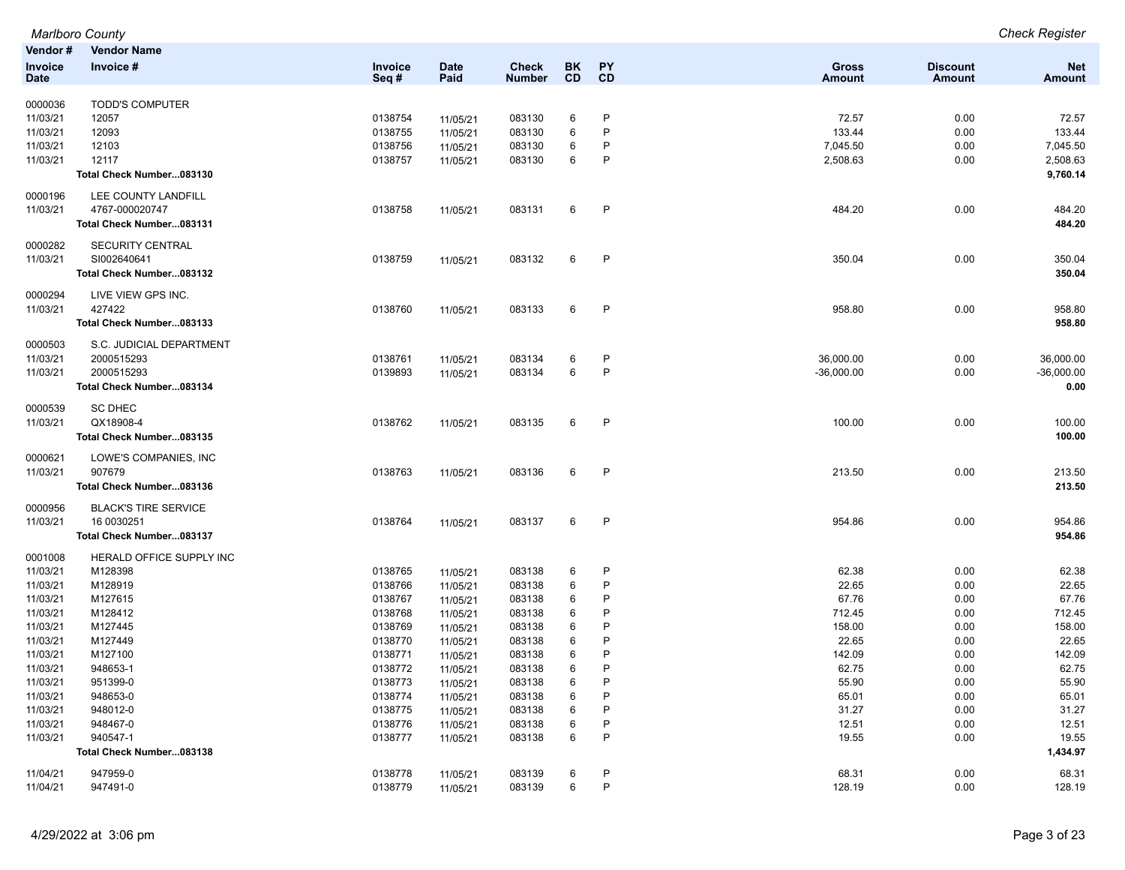|             | Marlboro County             |         |             |               |    |              |               |                 | <b>Check Register</b> |
|-------------|-----------------------------|---------|-------------|---------------|----|--------------|---------------|-----------------|-----------------------|
| Vendor#     | <b>Vendor Name</b>          |         |             |               |    |              |               |                 |                       |
| Invoice     | Invoice #                   | Invoice | <b>Date</b> | <b>Check</b>  | BK | PY           | <b>Gross</b>  | <b>Discount</b> | <b>Net</b>            |
| <b>Date</b> |                             | Seq#    | Paid        | <b>Number</b> | CD | CD           | <b>Amount</b> | <b>Amount</b>   | <b>Amount</b>         |
|             |                             |         |             |               |    |              |               |                 |                       |
| 0000036     | <b>TODD'S COMPUTER</b>      |         |             |               |    |              |               |                 |                       |
| 11/03/21    | 12057                       | 0138754 | 11/05/21    | 083130        | 6  | P            | 72.57         | 0.00            | 72.57                 |
| 11/03/21    | 12093                       | 0138755 | 11/05/21    | 083130        | 6  | P            | 133.44        | 0.00            | 133.44                |
| 11/03/21    | 12103                       | 0138756 | 11/05/21    | 083130        | 6  | P            | 7,045.50      | 0.00            | 7,045.50              |
| 11/03/21    | 12117                       | 0138757 | 11/05/21    | 083130        | 6  | P            | 2,508.63      | 0.00            | 2,508.63              |
|             | Total Check Number083130    |         |             |               |    |              |               |                 | 9,760.14              |
| 0000196     | LEE COUNTY LANDFILL         |         |             |               |    |              |               |                 |                       |
| 11/03/21    | 4767-000020747              | 0138758 | 11/05/21    | 083131        | 6  | P            | 484.20        | 0.00            | 484.20                |
|             | Total Check Number083131    |         |             |               |    |              |               |                 | 484.20                |
| 0000282     | SECURITY CENTRAL            |         |             |               |    |              |               |                 |                       |
| 11/03/21    | SI002640641                 | 0138759 | 11/05/21    | 083132        | 6  | $\mathsf{P}$ | 350.04        | 0.00            | 350.04                |
|             | Total Check Number083132    |         |             |               |    |              |               |                 | 350.04                |
|             |                             |         |             |               |    |              |               |                 |                       |
| 0000294     | LIVE VIEW GPS INC.          |         |             |               |    |              |               |                 |                       |
| 11/03/21    | 427422                      | 0138760 | 11/05/21    | 083133        | 6  | $\mathsf{P}$ | 958.80        | 0.00            | 958.80                |
|             | Total Check Number083133    |         |             |               |    |              |               |                 | 958.80                |
| 0000503     | S.C. JUDICIAL DEPARTMENT    |         |             |               |    |              |               |                 |                       |
| 11/03/21    | 2000515293                  | 0138761 | 11/05/21    | 083134        | 6  | P            | 36,000.00     | 0.00            | 36,000.00             |
| 11/03/21    | 2000515293                  | 0139893 | 11/05/21    | 083134        | 6  | P            | $-36,000.00$  | 0.00            | $-36,000.00$          |
|             | Total Check Number083134    |         |             |               |    |              |               |                 | 0.00                  |
| 0000539     | <b>SC DHEC</b>              |         |             |               |    |              |               |                 |                       |
| 11/03/21    | QX18908-4                   | 0138762 | 11/05/21    | 083135        | 6  | P            | 100.00        | 0.00            | 100.00                |
|             | Total Check Number083135    |         |             |               |    |              |               |                 | 100.00                |
|             |                             |         |             |               |    |              |               |                 |                       |
| 0000621     | LOWE'S COMPANIES, INC       |         |             |               |    |              |               |                 |                       |
| 11/03/21    | 907679                      | 0138763 | 11/05/21    | 083136        | 6  | P            | 213.50        | 0.00            | 213.50                |
|             | Total Check Number083136    |         |             |               |    |              |               |                 | 213.50                |
| 0000956     | <b>BLACK'S TIRE SERVICE</b> |         |             |               |    |              |               |                 |                       |
| 11/03/21    | 16 0030251                  | 0138764 | 11/05/21    | 083137        | 6  | $\mathsf{P}$ | 954.86        | 0.00            | 954.86                |
|             | Total Check Number083137    |         |             |               |    |              |               |                 | 954.86                |
| 0001008     | HERALD OFFICE SUPPLY INC    |         |             |               |    |              |               |                 |                       |
| 11/03/21    | M128398                     | 0138765 | 11/05/21    | 083138        | 6  | P            | 62.38         | 0.00            | 62.38                 |
| 11/03/21    | M128919                     | 0138766 | 11/05/21    | 083138        | 6  | P            | 22.65         | 0.00            | 22.65                 |
| 11/03/21    | M127615                     | 0138767 | 11/05/21    | 083138        | 6  | P            | 67.76         | 0.00            | 67.76                 |
| 11/03/21    | M128412                     | 0138768 | 11/05/21    | 083138        | 6  | P            | 712.45        | 0.00            | 712.45                |
| 11/03/21    | M127445                     | 0138769 | 11/05/21    | 083138        | 6  | P            | 158.00        | 0.00            | 158.00                |
| 11/03/21    | M127449                     | 0138770 | 11/05/21    | 083138        | 6  | P            | 22.65         | 0.00            | 22.65                 |
| 11/03/21    | M127100                     | 0138771 | 11/05/21    | 083138        | 6  | P            | 142.09        | 0.00            | 142.09                |
| 11/03/21    | 948653-1                    | 0138772 | 11/05/21    | 083138        | 6  |              | 62.75         | 0.00            | 62.75                 |
| 11/03/21    | 951399-0                    | 0138773 | 11/05/21    | 083138        | 6  | P            | 55.90         | 0.00            | 55.90                 |
| 11/03/21    | 948653-0                    | 0138774 | 11/05/21    | 083138        | 6  | P            | 65.01         | 0.00            | 65.01                 |
| 11/03/21    | 948012-0                    | 0138775 | 11/05/21    | 083138        | 6  | P            | 31.27         | 0.00            | 31.27                 |
| 11/03/21    | 948467-0                    | 0138776 | 11/05/21    | 083138        | 6  | P            | 12.51         | 0.00            | 12.51                 |
| 11/03/21    | 940547-1                    | 0138777 | 11/05/21    | 083138        | 6  | P            | 19.55         | 0.00            | 19.55                 |
|             | Total Check Number083138    |         |             |               |    |              |               |                 | 1,434.97              |
| 11/04/21    | 947959-0                    | 0138778 | 11/05/21    | 083139        | 6  | P            | 68.31         | 0.00            | 68.31                 |
| 11/04/21    | 947491-0                    | 0138779 | 11/05/21    | 083139        | 6  | P            | 128.19        | 0.00            | 128.19                |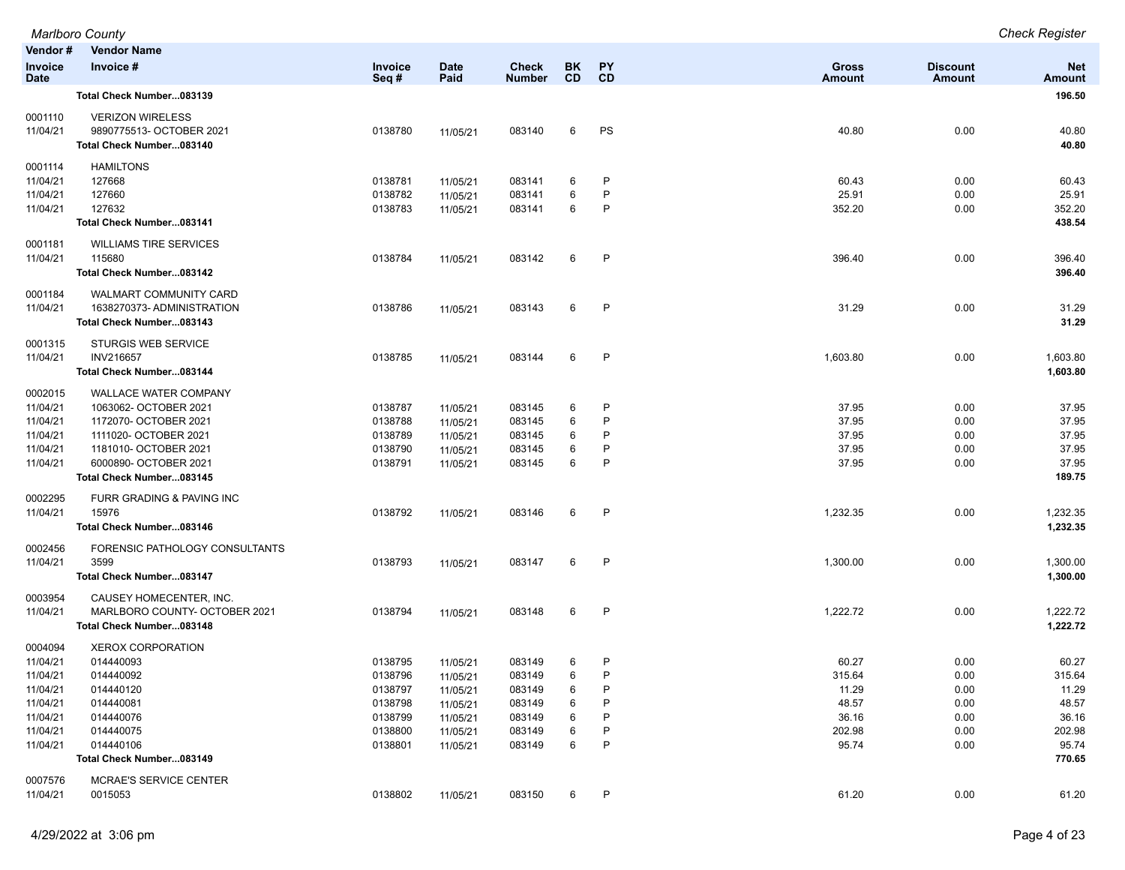|                               | <b>Marlboro County</b>                         |                    |                      |                               |                  |                        |                        |                           | <b>Check Register</b> |
|-------------------------------|------------------------------------------------|--------------------|----------------------|-------------------------------|------------------|------------------------|------------------------|---------------------------|-----------------------|
| Vendor#                       | <b>Vendor Name</b>                             |                    |                      |                               |                  |                        |                        |                           |                       |
| <b>Invoice</b><br><b>Date</b> | Invoice #                                      | Invoice<br>Seq#    | <b>Date</b><br>Paid  | <b>Check</b><br><b>Number</b> | BK.<br><b>CD</b> | <b>PY</b><br><b>CD</b> | <b>Gross</b><br>Amount | <b>Discount</b><br>Amount | <b>Net</b><br>Amount  |
|                               | Total Check Number083139                       |                    |                      |                               |                  |                        |                        |                           | 196.50                |
| 0001110                       | <b>VERIZON WIRELESS</b>                        |                    |                      |                               |                  |                        |                        |                           |                       |
| 11/04/21                      | 9890775513- OCTOBER 2021                       | 0138780            | 11/05/21             | 083140                        | 6                | PS                     | 40.80                  | 0.00                      | 40.80                 |
|                               | Total Check Number083140                       |                    |                      |                               |                  |                        |                        |                           | 40.80                 |
| 0001114                       | <b>HAMILTONS</b>                               |                    |                      |                               |                  |                        |                        |                           |                       |
| 11/04/21                      | 127668                                         | 0138781            | 11/05/21             | 083141                        | 6                | P                      | 60.43                  | 0.00                      | 60.43                 |
| 11/04/21                      | 127660                                         | 0138782            | 11/05/21             | 083141                        | 6                | P                      | 25.91                  | 0.00                      | 25.91                 |
| 11/04/21                      | 127632                                         | 0138783            | 11/05/21             | 083141                        | 6                | P                      | 352.20                 | 0.00                      | 352.20                |
|                               | Total Check Number083141                       |                    |                      |                               |                  |                        |                        |                           | 438.54                |
| 0001181                       | <b>WILLIAMS TIRE SERVICES</b>                  |                    |                      |                               |                  |                        |                        |                           |                       |
| 11/04/21                      | 115680                                         | 0138784            | 11/05/21             | 083142                        | 6                | P                      | 396.40                 | 0.00                      | 396.40                |
|                               | Total Check Number083142                       |                    |                      |                               |                  |                        |                        |                           | 396.40                |
| 0001184                       | <b>WALMART COMMUNITY CARD</b>                  |                    |                      |                               |                  |                        |                        |                           |                       |
| 11/04/21                      | 1638270373-ADMINISTRATION                      | 0138786            | 11/05/21             | 083143                        | 6                | P                      | 31.29                  | 0.00                      | 31.29                 |
|                               | Total Check Number083143                       |                    |                      |                               |                  |                        |                        |                           | 31.29                 |
| 0001315                       | STURGIS WEB SERVICE                            |                    |                      |                               |                  |                        |                        |                           |                       |
| 11/04/21                      | <b>INV216657</b>                               | 0138785            | 11/05/21             | 083144                        | 6                | $\mathsf{P}$           | 1,603.80               | 0.00                      | 1,603.80              |
|                               | Total Check Number083144                       |                    |                      |                               |                  |                        |                        |                           | 1,603.80              |
| 0002015                       | <b>WALLACE WATER COMPANY</b>                   |                    |                      |                               |                  |                        |                        |                           |                       |
| 11/04/21                      | 1063062- OCTOBER 2021                          | 0138787            | 11/05/21             | 083145                        | 6                | P                      | 37.95                  | 0.00                      | 37.95                 |
| 11/04/21                      | 1172070- OCTOBER 2021                          | 0138788            | 11/05/21             | 083145                        | 6                | P<br>P                 | 37.95                  | 0.00                      | 37.95                 |
| 11/04/21<br>11/04/21          | 1111020- OCTOBER 2021<br>1181010- OCTOBER 2021 | 0138789<br>0138790 | 11/05/21             | 083145<br>083145              | 6<br>6           | P                      | 37.95<br>37.95         | 0.00<br>0.00              | 37.95<br>37.95        |
| 11/04/21                      | 6000890- OCTOBER 2021                          | 0138791            | 11/05/21<br>11/05/21 | 083145                        | 6                | P                      | 37.95                  | 0.00                      | 37.95                 |
|                               | Total Check Number083145                       |                    |                      |                               |                  |                        |                        |                           | 189.75                |
| 0002295                       | FURR GRADING & PAVING INC                      |                    |                      |                               |                  |                        |                        |                           |                       |
| 11/04/21                      | 15976                                          | 0138792            | 11/05/21             | 083146                        | 6                | $\mathsf{P}$           | 1,232.35               | 0.00                      | 1,232.35              |
|                               | Total Check Number083146                       |                    |                      |                               |                  |                        |                        |                           | 1,232.35              |
| 0002456                       | FORENSIC PATHOLOGY CONSULTANTS                 |                    |                      |                               |                  |                        |                        |                           |                       |
| 11/04/21                      | 3599                                           | 0138793            | 11/05/21             | 083147                        | 6                | $\mathsf{P}$           | 1,300.00               | 0.00                      | 1,300.00              |
|                               | Total Check Number083147                       |                    |                      |                               |                  |                        |                        |                           | 1,300.00              |
| 0003954                       | CAUSEY HOMECENTER. INC.                        |                    |                      |                               |                  |                        |                        |                           |                       |
| 11/04/21                      | MARLBORO COUNTY- OCTOBER 2021                  | 0138794            | 11/05/21             | 083148                        | 6                | P                      | 1,222.72               | 0.00                      | 1,222.72              |
|                               | Total Check Number083148                       |                    |                      |                               |                  |                        |                        |                           | 1,222.72              |
| 0004094                       | <b>XEROX CORPORATION</b>                       |                    |                      |                               |                  |                        |                        |                           |                       |
| 11/04/21                      | 014440093                                      | 0138795            | 11/05/21             | 083149                        | 6                | P                      | 60.27                  | 0.00                      | 60.27                 |
| 11/04/21                      | 014440092                                      | 0138796            | 11/05/21             | 083149                        | 6                | P                      | 315.64                 | 0.00                      | 315.64                |
| 11/04/21                      | 014440120                                      | 0138797            | 11/05/21             | 083149                        | 6                | P                      | 11.29                  | 0.00                      | 11.29                 |
| 11/04/21                      | 014440081                                      | 0138798            | 11/05/21             | 083149                        | 6                | P                      | 48.57                  | 0.00                      | 48.57                 |
| 11/04/21                      | 014440076                                      | 0138799            | 11/05/21             | 083149                        | 6                | P                      | 36.16                  | 0.00                      | 36.16                 |
| 11/04/21<br>11/04/21          | 014440075<br>014440106                         | 0138800<br>0138801 | 11/05/21             | 083149<br>083149              | 6<br>6           | P<br>P                 | 202.98<br>95.74        | 0.00<br>0.00              | 202.98<br>95.74       |
|                               | Total Check Number083149                       |                    | 11/05/21             |                               |                  |                        |                        |                           | 770.65                |
|                               |                                                |                    |                      |                               |                  |                        |                        |                           |                       |
| 0007576<br>11/04/21           | <b>MCRAE'S SERVICE CENTER</b><br>0015053       | 0138802            | 11/05/21             | 083150                        | 6                | P                      | 61.20                  | 0.00                      | 61.20                 |
|                               |                                                |                    |                      |                               |                  |                        |                        |                           |                       |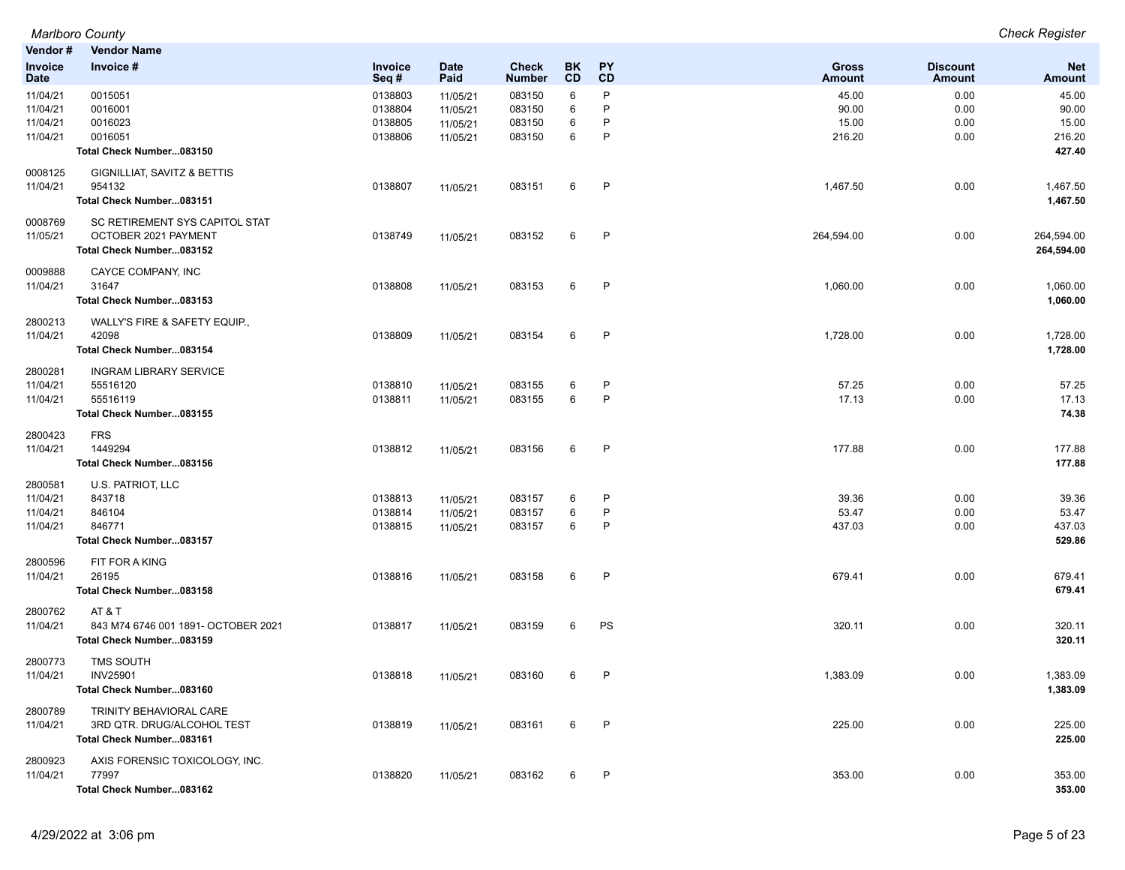|                     | <b>Marlboro County</b>                  |                 |                     |                               |                  |                        |                        |                                  | <b>Check Register</b>       |
|---------------------|-----------------------------------------|-----------------|---------------------|-------------------------------|------------------|------------------------|------------------------|----------------------------------|-----------------------------|
| Vendor #            | <b>Vendor Name</b>                      |                 |                     |                               |                  |                        |                        |                                  |                             |
| Invoice<br>Date     | Invoice #                               | Invoice<br>Seq# | <b>Date</b><br>Paid | <b>Check</b><br><b>Number</b> | BK.<br><b>CD</b> | <b>PY</b><br><b>CD</b> | Gross<br><b>Amount</b> | <b>Discount</b><br><b>Amount</b> | <b>Net</b><br><b>Amount</b> |
| 11/04/21            | 0015051                                 | 0138803         | 11/05/21            | 083150                        | 6                | P                      | 45.00                  | 0.00                             | 45.00                       |
| 11/04/21            | 0016001                                 | 0138804         | 11/05/21            | 083150                        | 6                | P                      | 90.00                  | 0.00                             | 90.00                       |
| 11/04/21            | 0016023                                 | 0138805         | 11/05/21            | 083150                        | 6                | P                      | 15.00                  | 0.00                             | 15.00                       |
| 11/04/21            | 0016051                                 | 0138806         | 11/05/21            | 083150                        | 6                | P                      | 216.20                 | 0.00                             | 216.20                      |
|                     | Total Check Number083150                |                 |                     |                               |                  |                        |                        |                                  | 427.40                      |
| 0008125             | <b>GIGNILLIAT, SAVITZ &amp; BETTIS</b>  |                 |                     |                               |                  |                        |                        |                                  |                             |
| 11/04/21            | 954132                                  | 0138807         | 11/05/21            | 083151                        | 6                | P                      | 1,467.50               | 0.00                             | 1,467.50                    |
|                     | Total Check Number083151                |                 |                     |                               |                  |                        |                        |                                  | 1,467.50                    |
| 0008769             | SC RETIREMENT SYS CAPITOL STAT          |                 |                     |                               |                  |                        |                        |                                  |                             |
| 11/05/21            | OCTOBER 2021 PAYMENT                    | 0138749         | 11/05/21            | 083152                        | 6                | P                      | 264,594.00             | 0.00                             | 264,594.00                  |
|                     | Total Check Number083152                |                 |                     |                               |                  |                        |                        |                                  | 264,594.00                  |
| 0009888<br>11/04/21 | CAYCE COMPANY, INC<br>31647             | 0138808         |                     | 083153                        | 6                | P                      | 1,060.00               | 0.00                             | 1,060.00                    |
|                     | Total Check Number083153                |                 | 11/05/21            |                               |                  |                        |                        |                                  | 1,060.00                    |
| 2800213             | WALLY'S FIRE & SAFETY EQUIP.,           |                 |                     |                               |                  |                        |                        |                                  |                             |
| 11/04/21            | 42098                                   | 0138809         | 11/05/21            | 083154                        | 6                | P                      | 1,728.00               | 0.00                             | 1,728.00                    |
|                     | Total Check Number083154                |                 |                     |                               |                  |                        |                        |                                  | 1,728.00                    |
| 2800281             | <b>INGRAM LIBRARY SERVICE</b>           |                 |                     |                               |                  |                        |                        |                                  |                             |
| 11/04/21            | 55516120                                | 0138810         | 11/05/21            | 083155                        | 6                | P                      | 57.25                  | 0.00                             | 57.25                       |
| 11/04/21            | 55516119                                | 0138811         | 11/05/21            | 083155                        | 6                | P                      | 17.13                  | 0.00                             | 17.13                       |
|                     | Total Check Number083155                |                 |                     |                               |                  |                        |                        |                                  | 74.38                       |
| 2800423             | <b>FRS</b>                              |                 |                     |                               |                  |                        |                        |                                  |                             |
| 11/04/21            | 1449294                                 | 0138812         | 11/05/21            | 083156                        | 6                | P                      | 177.88                 | 0.00                             | 177.88                      |
|                     | Total Check Number083156                |                 |                     |                               |                  |                        |                        |                                  | 177.88                      |
| 2800581             | U.S. PATRIOT, LLC                       |                 |                     |                               |                  |                        |                        |                                  |                             |
| 11/04/21            | 843718                                  | 0138813         | 11/05/21            | 083157                        | 6                | P                      | 39.36                  | 0.00                             | 39.36                       |
| 11/04/21            | 846104                                  | 0138814         | 11/05/21            | 083157                        | 6                | P                      | 53.47                  | 0.00                             | 53.47                       |
| 11/04/21            | 846771                                  | 0138815         | 11/05/21            | 083157                        | 6                | P                      | 437.03                 | 0.00                             | 437.03                      |
|                     | Total Check Number083157                |                 |                     |                               |                  |                        |                        |                                  | 529.86                      |
| 2800596             | FIT FOR A KING                          |                 |                     |                               |                  |                        |                        |                                  |                             |
| 11/04/21            | 26195                                   | 0138816         | 11/05/21            | 083158                        | 6                | P                      | 679.41                 | 0.00                             | 679.41                      |
|                     | Total Check Number083158                |                 |                     |                               |                  |                        |                        |                                  | 679.41                      |
| 2800762             | AT & T                                  |                 |                     |                               |                  |                        |                        |                                  |                             |
| 11/04/21            | 843 M74 6746 001 1891- OCTOBER 2021     | 0138817         | 11/05/21            | 083159                        | 6                | PS                     | 320.11                 | 0.00                             | 320.11                      |
|                     | Total Check Number083159                |                 |                     |                               |                  |                        |                        |                                  | 320.11                      |
| 2800773             | <b>TMS SOUTH</b>                        |                 |                     |                               |                  |                        |                        |                                  |                             |
| 11/04/21            | <b>INV25901</b>                         | 0138818         | 11/05/21            | 083160                        | 6                | P                      | 1,383.09               | 0.00                             | 1,383.09                    |
|                     | Total Check Number083160                |                 |                     |                               |                  |                        |                        |                                  | 1,383.09                    |
| 2800789             | TRINITY BEHAVIORAL CARE                 |                 |                     |                               |                  |                        |                        |                                  |                             |
| 11/04/21            | 3RD QTR. DRUG/ALCOHOL TEST              | 0138819         | 11/05/21            | 083161                        | 6                | P                      | 225.00                 | 0.00                             | 225.00                      |
|                     | Total Check Number083161                |                 |                     |                               |                  |                        |                        |                                  | 225.00                      |
| 2800923<br>11/04/21 | AXIS FORENSIC TOXICOLOGY, INC.<br>77997 | 0138820         | 11/05/21            | 083162                        | 6                | P                      | 353.00                 | 0.00                             | 353.00                      |
|                     | Total Check Number083162                |                 |                     |                               |                  |                        |                        |                                  | 353.00                      |
|                     |                                         |                 |                     |                               |                  |                        |                        |                                  |                             |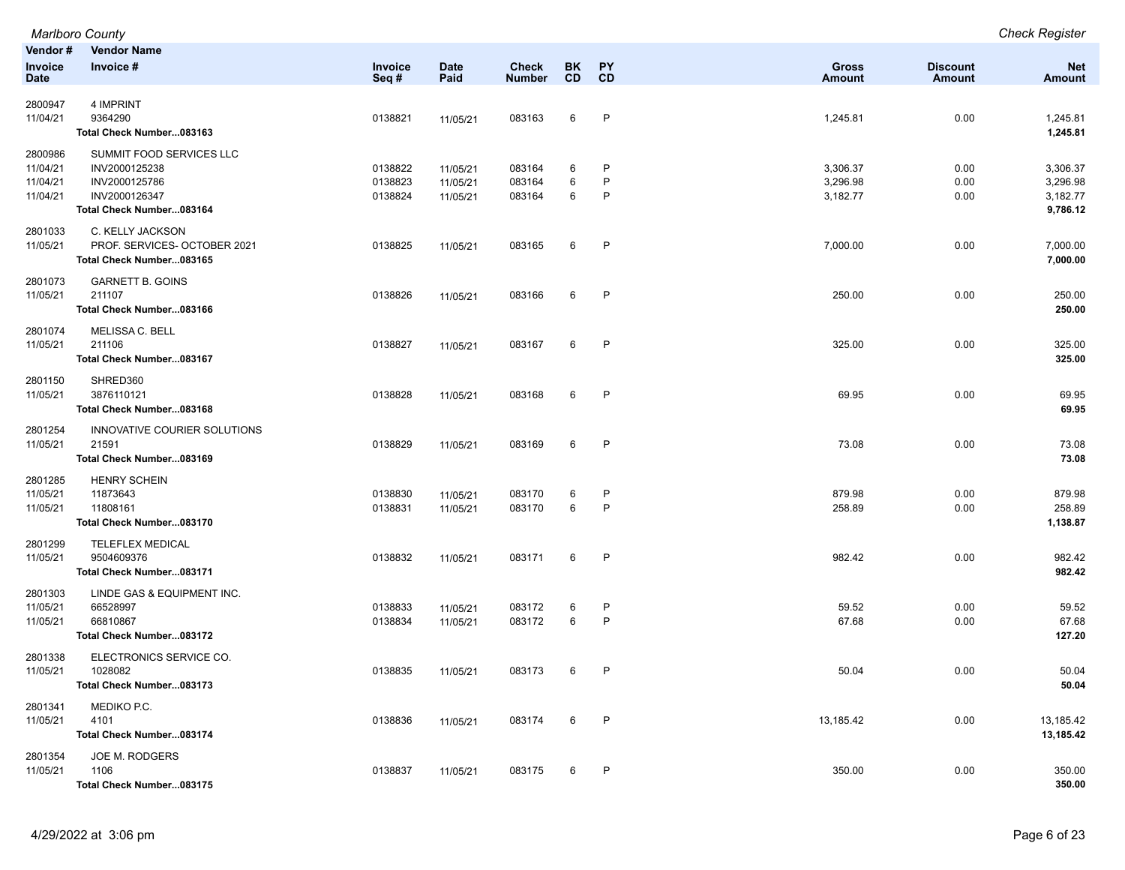|                                             | <b>Marlboro County</b>                                                                                  |                               |                                  |                               |                 |                                   |                                  |                           | <b>Check Register</b>                        |
|---------------------------------------------|---------------------------------------------------------------------------------------------------------|-------------------------------|----------------------------------|-------------------------------|-----------------|-----------------------------------|----------------------------------|---------------------------|----------------------------------------------|
| Vendor#<br><b>Invoice</b><br><b>Date</b>    | <b>Vendor Name</b><br>Invoice #                                                                         | <b>Invoice</b><br>Seq#        | <b>Date</b><br>Paid              | <b>Check</b><br><b>Number</b> | BK<br><b>CD</b> | PY<br><b>CD</b>                   | <b>Gross</b><br><b>Amount</b>    | <b>Discount</b><br>Amount | <b>Net</b><br>Amount                         |
| 2800947<br>11/04/21                         | 4 IMPRINT<br>9364290<br>Total Check Number083163                                                        | 0138821                       | 11/05/21                         | 083163                        | 6               | $\mathsf{P}$                      | 1,245.81                         | 0.00                      | 1,245.81<br>1,245.81                         |
| 2800986<br>11/04/21<br>11/04/21<br>11/04/21 | SUMMIT FOOD SERVICES LLC<br>INV2000125238<br>INV2000125786<br>INV2000126347<br>Total Check Number083164 | 0138822<br>0138823<br>0138824 | 11/05/21<br>11/05/21<br>11/05/21 | 083164<br>083164<br>083164    | 6<br>6<br>6     | $\mathsf{P}$<br>$\mathsf{P}$<br>P | 3,306.37<br>3,296.98<br>3,182.77 | 0.00<br>0.00<br>0.00      | 3,306.37<br>3,296.98<br>3,182.77<br>9,786.12 |
| 2801033<br>11/05/21                         | C. KELLY JACKSON<br>PROF. SERVICES- OCTOBER 2021<br>Total Check Number083165                            | 0138825                       | 11/05/21                         | 083165                        | 6               | $\mathsf{P}$                      | 7,000.00                         | 0.00                      | 7,000.00<br>7,000.00                         |
| 2801073<br>11/05/21                         | <b>GARNETT B. GOINS</b><br>211107<br>Total Check Number083166                                           | 0138826                       | 11/05/21                         | 083166                        | 6               | P                                 | 250.00                           | 0.00                      | 250.00<br>250.00                             |
| 2801074<br>11/05/21                         | MELISSA C. BELL<br>211106<br>Total Check Number083167                                                   | 0138827                       | 11/05/21                         | 083167                        | 6               | $\mathsf{P}$                      | 325.00                           | 0.00                      | 325.00<br>325.00                             |
| 2801150<br>11/05/21                         | SHRED360<br>3876110121<br>Total Check Number083168                                                      | 0138828                       | 11/05/21                         | 083168                        | 6               | $\mathsf{P}$                      | 69.95                            | 0.00                      | 69.95<br>69.95                               |
| 2801254<br>11/05/21                         | INNOVATIVE COURIER SOLUTIONS<br>21591<br>Total Check Number083169                                       | 0138829                       | 11/05/21                         | 083169                        | 6               | $\mathsf{P}$                      | 73.08                            | 0.00                      | 73.08<br>73.08                               |
| 2801285<br>11/05/21<br>11/05/21             | <b>HENRY SCHEIN</b><br>11873643<br>11808161<br>Total Check Number083170                                 | 0138830<br>0138831            | 11/05/21<br>11/05/21             | 083170<br>083170              | 6<br>6          | $\mathsf{P}$<br>P                 | 879.98<br>258.89                 | 0.00<br>0.00              | 879.98<br>258.89<br>1,138.87                 |
| 2801299<br>11/05/21                         | <b>TELEFLEX MEDICAL</b><br>9504609376<br>Total Check Number083171                                       | 0138832                       | 11/05/21                         | 083171                        | 6               | $\mathsf{P}$                      | 982.42                           | 0.00                      | 982.42<br>982.42                             |
| 2801303<br>11/05/21<br>11/05/21             | LINDE GAS & EQUIPMENT INC.<br>66528997<br>66810867<br>Total Check Number083172                          | 0138833<br>0138834            | 11/05/21<br>11/05/21             | 083172<br>083172              | 6<br>6          | $\mathsf{P}$<br>$\mathsf{P}$      | 59.52<br>67.68                   | 0.00<br>0.00              | 59.52<br>67.68<br>127.20                     |
| 2801338<br>11/05/21                         | ELECTRONICS SERVICE CO.<br>1028082<br>Total Check Number083173                                          | 0138835                       | 11/05/21                         | 083173                        | 6               | P                                 | 50.04                            | 0.00                      | 50.04<br>50.04                               |
| 2801341<br>11/05/21                         | MEDIKO P.C.<br>4101<br>Total Check Number083174                                                         | 0138836                       | 11/05/21                         | 083174                        | 6               | P                                 | 13,185.42                        | 0.00                      | 13,185.42<br>13,185.42                       |
| 2801354<br>11/05/21                         | JOE M. RODGERS<br>1106<br>Total Check Number083175                                                      | 0138837                       | 11/05/21                         | 083175                        | 6               | P                                 | 350.00                           | 0.00                      | 350.00<br>350.00                             |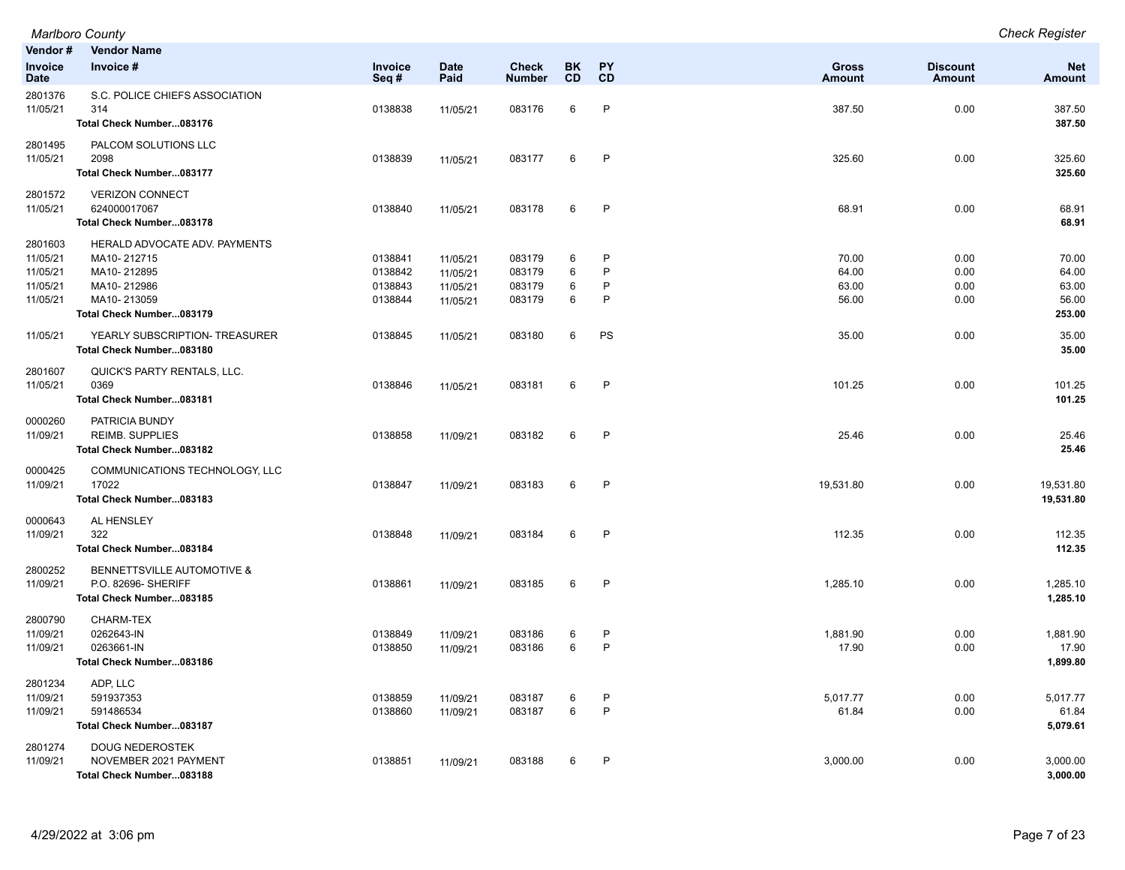| Vendor#<br><b>Invoice</b><br><b>Date</b>                | <b>Vendor Name</b><br>Invoice #                                                                                       | <b>Invoice</b><br>Seq#                   | <b>Date</b><br>Paid                          | <b>Check</b><br><b>Number</b>        | <b>BK</b><br>CD  | PΥ<br>CD          | <b>Gross</b><br><b>Amount</b>    | <b>Discount</b><br><b>Amount</b> | <b>Net</b><br><b>Amount</b>                |
|---------------------------------------------------------|-----------------------------------------------------------------------------------------------------------------------|------------------------------------------|----------------------------------------------|--------------------------------------|------------------|-------------------|----------------------------------|----------------------------------|--------------------------------------------|
| 2801376<br>11/05/21                                     | S.C. POLICE CHIEFS ASSOCIATION<br>314<br>Total Check Number083176                                                     | 0138838                                  | 11/05/21                                     | 083176                               | 6                | P                 | 387.50                           | 0.00                             | 387.50<br>387.50                           |
| 2801495<br>11/05/21                                     | PALCOM SOLUTIONS LLC<br>2098<br>Total Check Number083177                                                              | 0138839                                  | 11/05/21                                     | 083177                               | 6                | P                 | 325.60                           | 0.00                             | 325.60<br>325.60                           |
| 2801572<br>11/05/21                                     | <b>VERIZON CONNECT</b><br>624000017067<br>Total Check Number083178                                                    | 0138840                                  | 11/05/21                                     | 083178                               | 6                | P                 | 68.91                            | 0.00                             | 68.91<br>68.91                             |
| 2801603<br>11/05/21<br>11/05/21<br>11/05/21<br>11/05/21 | HERALD ADVOCATE ADV. PAYMENTS<br>MA10-212715<br>MA10-212895<br>MA10-212986<br>MA10-213059<br>Total Check Number083179 | 0138841<br>0138842<br>0138843<br>0138844 | 11/05/21<br>11/05/21<br>11/05/21<br>11/05/21 | 083179<br>083179<br>083179<br>083179 | 6<br>6<br>6<br>6 | P<br>P<br>P<br>P  | 70.00<br>64.00<br>63.00<br>56.00 | 0.00<br>0.00<br>0.00<br>0.00     | 70.00<br>64.00<br>63.00<br>56.00<br>253.00 |
| 11/05/21                                                | YEARLY SUBSCRIPTION- TREASURER<br>Total Check Number083180                                                            | 0138845                                  | 11/05/21                                     | 083180                               | 6                | PS                | 35.00                            | 0.00                             | 35.00<br>35.00                             |
| 2801607<br>11/05/21                                     | QUICK'S PARTY RENTALS, LLC.<br>0369<br>Total Check Number083181                                                       | 0138846                                  | 11/05/21                                     | 083181                               | 6                | P                 | 101.25                           | 0.00                             | 101.25<br>101.25                           |
| 0000260<br>11/09/21                                     | PATRICIA BUNDY<br><b>REIMB. SUPPLIES</b><br>Total Check Number083182                                                  | 0138858                                  | 11/09/21                                     | 083182                               | 6                | P                 | 25.46                            | 0.00                             | 25.46<br>25.46                             |
| 0000425<br>11/09/21                                     | COMMUNICATIONS TECHNOLOGY, LLC<br>17022<br>Total Check Number083183                                                   | 0138847                                  | 11/09/21                                     | 083183                               | 6                | P                 | 19,531.80                        | 0.00                             | 19,531.80<br>19,531.80                     |
| 0000643<br>11/09/21                                     | AL HENSLEY<br>322<br>Total Check Number083184                                                                         | 0138848                                  | 11/09/21                                     | 083184                               | 6                | P                 | 112.35                           | 0.00                             | 112.35<br>112.35                           |
| 2800252<br>11/09/21                                     | BENNETTSVILLE AUTOMOTIVE &<br>P.O. 82696- SHERIFF<br>Total Check Number083185                                         | 0138861                                  | 11/09/21                                     | 083185                               | 6                | P                 | 1,285.10                         | 0.00                             | 1,285.10<br>1,285.10                       |
| 2800790<br>11/09/21<br>11/09/21                         | CHARM-TEX<br>0262643-IN<br>0263661-IN<br>Total Check Number083186                                                     | 0138849<br>0138850                       | 11/09/21<br>11/09/21                         | 083186<br>083186                     | 6<br>6           | $\sf P$<br>P      | 1,881.90<br>17.90                | 0.00<br>0.00                     | 1,881.90<br>17.90<br>1,899.80              |
| 2801234<br>11/09/21<br>11/09/21                         | ADP, LLC<br>591937353<br>591486534<br>Total Check Number083187                                                        | 0138859<br>0138860                       | 11/09/21<br>11/09/21                         | 083187<br>083187                     | 6<br>6           | P<br>$\mathsf{P}$ | 5,017.77<br>61.84                | 0.00<br>0.00                     | 5,017.77<br>61.84<br>5,079.61              |
| 2801274<br>11/09/21                                     | <b>DOUG NEDEROSTEK</b><br>NOVEMBER 2021 PAYMENT<br>Total Check Number083188                                           | 0138851                                  | 11/09/21                                     | 083188                               | 6                | P                 | 3,000.00                         | 0.00                             | 3,000.00<br>3,000.00                       |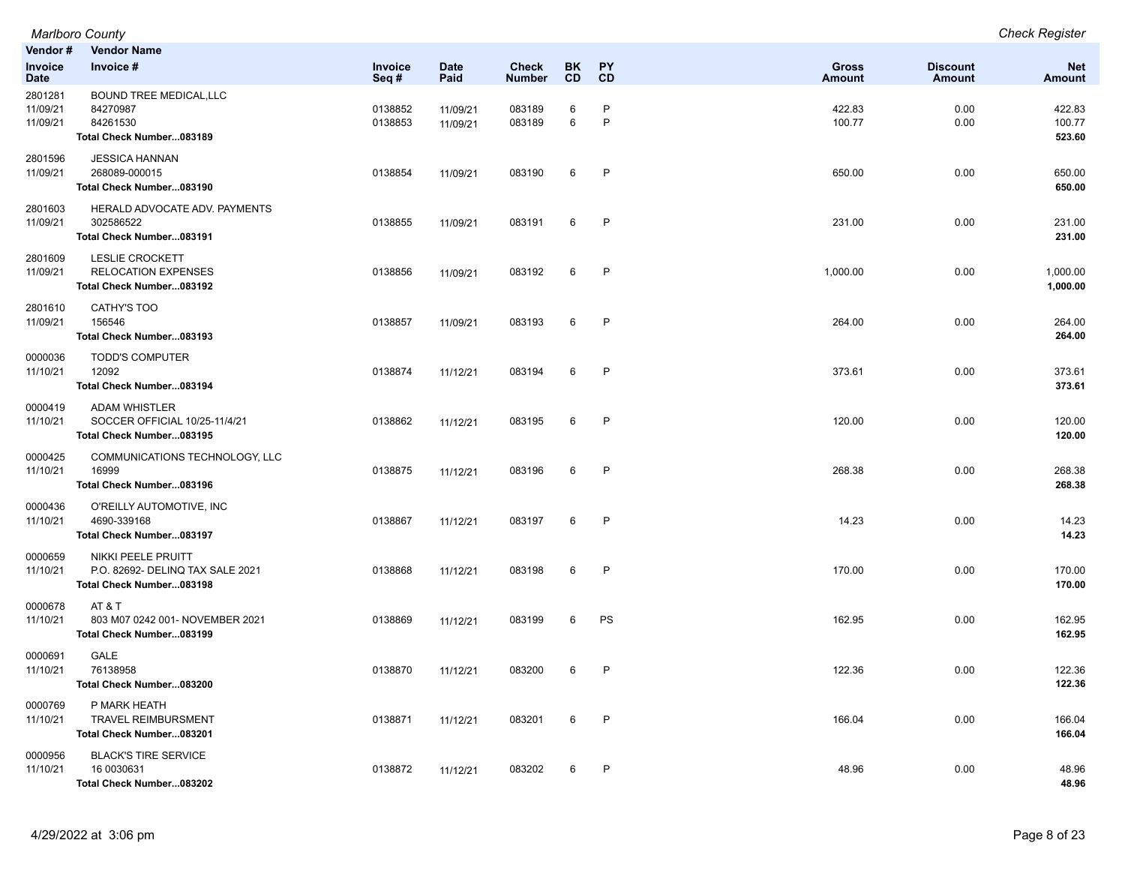|                                 | <b>Marlboro County</b>                                                             |                    |                      |                               |           |                   |                  |                           | <b>Check Register</b>       |
|---------------------------------|------------------------------------------------------------------------------------|--------------------|----------------------|-------------------------------|-----------|-------------------|------------------|---------------------------|-----------------------------|
| Vendor#                         | <b>Vendor Name</b><br>Invoice #                                                    |                    | <b>Date</b>          |                               | BK        | PY                | <b>Gross</b>     |                           |                             |
| <b>Invoice</b><br><b>Date</b>   |                                                                                    | Invoice<br>Seq#    | Paid                 | <b>Check</b><br><b>Number</b> | <b>CD</b> | CD                | <b>Amount</b>    | <b>Discount</b><br>Amount | <b>Net</b><br><b>Amount</b> |
| 2801281<br>11/09/21<br>11/09/21 | <b>BOUND TREE MEDICAL, LLC</b><br>84270987<br>84261530<br>Total Check Number083189 | 0138852<br>0138853 | 11/09/21<br>11/09/21 | 083189<br>083189              | 6<br>6    | $\mathsf{P}$<br>P | 422.83<br>100.77 | 0.00<br>0.00              | 422.83<br>100.77<br>523.60  |
| 2801596<br>11/09/21             | <b>JESSICA HANNAN</b><br>268089-000015<br>Total Check Number083190                 | 0138854            | 11/09/21             | 083190                        | 6         | $\mathsf{P}$      | 650.00           | 0.00                      | 650.00<br>650.00            |
| 2801603<br>11/09/21             | HERALD ADVOCATE ADV. PAYMENTS<br>302586522<br>Total Check Number083191             | 0138855            | 11/09/21             | 083191                        | 6         | $\mathsf{P}$      | 231.00           | 0.00                      | 231.00<br>231.00            |
| 2801609<br>11/09/21             | <b>LESLIE CROCKETT</b><br><b>RELOCATION EXPENSES</b><br>Total Check Number083192   | 0138856            | 11/09/21             | 083192                        | 6         | P                 | 1,000.00         | 0.00                      | 1,000.00<br>1,000.00        |
| 2801610<br>11/09/21             | <b>CATHY'S TOO</b><br>156546<br>Total Check Number083193                           | 0138857            | 11/09/21             | 083193                        | 6         | P                 | 264.00           | 0.00                      | 264.00<br>264.00            |
| 0000036<br>11/10/21             | <b>TODD'S COMPUTER</b><br>12092<br>Total Check Number083194                        | 0138874            | 11/12/21             | 083194                        | 6         | P                 | 373.61           | 0.00                      | 373.61<br>373.61            |
| 0000419<br>11/10/21             | <b>ADAM WHISTLER</b><br>SOCCER OFFICIAL 10/25-11/4/21<br>Total Check Number083195  | 0138862            | 11/12/21             | 083195                        | 6         | $\mathsf{P}$      | 120.00           | 0.00                      | 120.00<br>120.00            |
| 0000425<br>11/10/21             | COMMUNICATIONS TECHNOLOGY, LLC<br>16999<br>Total Check Number083196                | 0138875            | 11/12/21             | 083196                        | 6         | $\mathsf{P}$      | 268.38           | 0.00                      | 268.38<br>268.38            |
| 0000436<br>11/10/21             | O'REILLY AUTOMOTIVE, INC<br>4690-339168<br>Total Check Number083197                | 0138867            | 11/12/21             | 083197                        | 6         | P                 | 14.23            | 0.00                      | 14.23<br>14.23              |
| 0000659<br>11/10/21             | NIKKI PEELE PRUITT<br>P.O. 82692- DELINQ TAX SALE 2021<br>Total Check Number083198 | 0138868            | 11/12/21             | 083198                        | 6         | P                 | 170.00           | 0.00                      | 170.00<br>170.00            |
| 0000678<br>11/10/21             | AT&T<br>803 M07 0242 001- NOVEMBER 2021<br>Total Check Number083199                | 0138869            | 11/12/21             | 083199                        | 6         | <b>PS</b>         | 162.95           | 0.00                      | 162.95<br>162.95            |
| 0000691<br>11/10/21             | <b>GALE</b><br>76138958<br>Total Check Number083200                                | 0138870            | 11/12/21             | 083200                        | 6         | P                 | 122.36           | 0.00                      | 122.36<br>122.36            |
| 0000769<br>11/10/21             | P MARK HEATH<br><b>TRAVEL REIMBURSMENT</b><br>Total Check Number083201             | 0138871            | 11/12/21             | 083201                        | 6         | P                 | 166.04           | 0.00                      | 166.04<br>166.04            |
| 0000956<br>11/10/21             | <b>BLACK'S TIRE SERVICE</b><br>16 0030631<br>Total Check Number083202              | 0138872            | 11/12/21             | 083202                        | 6         | $\mathsf{P}$      | 48.96            | 0.00                      | 48.96<br>48.96              |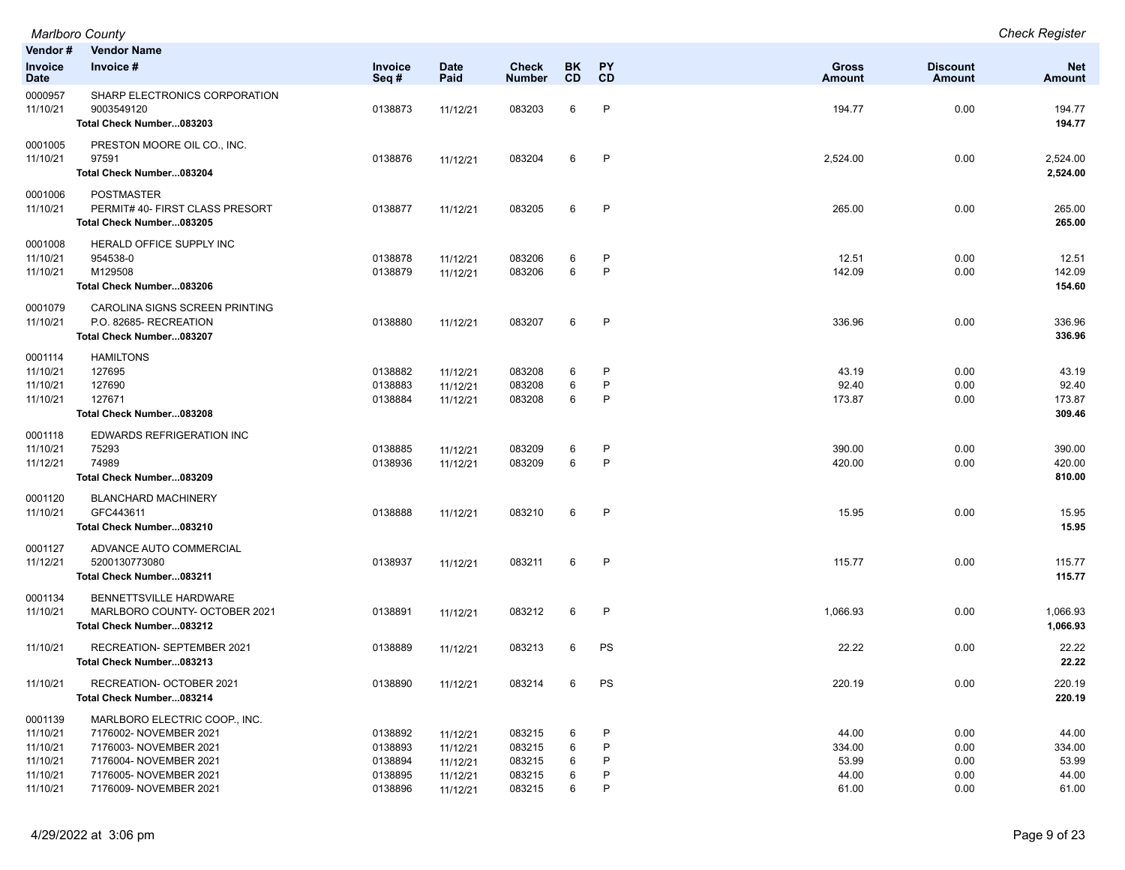| Marlboro County | <b>Check Register</b> |
|-----------------|-----------------------|
|-----------------|-----------------------|

| Vendor #                      | <b>Vendor Name</b>                                             |                        |                      |                        |                 |                        |                        |                           |                      |
|-------------------------------|----------------------------------------------------------------|------------------------|----------------------|------------------------|-----------------|------------------------|------------------------|---------------------------|----------------------|
| <b>Invoice</b><br><b>Date</b> | Invoice #                                                      | <b>Invoice</b><br>Seq# | <b>Date</b><br>Paid  | Check<br><b>Number</b> | <b>BK</b><br>CD | <b>PY</b><br><b>CD</b> | <b>Gross</b><br>Amount | <b>Discount</b><br>Amount | <b>Net</b><br>Amount |
| 0000957                       | SHARP ELECTRONICS CORPORATION                                  |                        |                      |                        |                 |                        |                        |                           |                      |
| 11/10/21                      | 9003549120                                                     | 0138873                | 11/12/21             | 083203                 | 6               | $\mathsf{P}$           | 194.77                 | 0.00                      | 194.77               |
|                               | Total Check Number083203                                       |                        |                      |                        |                 |                        |                        |                           | 194.77               |
| 0001005                       | PRESTON MOORE OIL CO., INC.                                    |                        |                      |                        |                 |                        |                        |                           |                      |
| 11/10/21                      | 97591                                                          | 0138876                | 11/12/21             | 083204                 | 6               | $\mathsf{P}$           | 2,524.00               | 0.00                      | 2,524.00             |
|                               | Total Check Number083204                                       |                        |                      |                        |                 |                        |                        |                           | 2,524.00             |
| 0001006                       | <b>POSTMASTER</b><br>PERMIT# 40- FIRST CLASS PRESORT           | 0138877                |                      | 083205                 | 6               | $\mathsf{P}$           | 265.00                 | 0.00                      | 265.00               |
| 11/10/21                      | Total Check Number083205                                       |                        | 11/12/21             |                        |                 |                        |                        |                           | 265.00               |
| 0001008                       | HERALD OFFICE SUPPLY INC                                       |                        |                      |                        |                 |                        |                        |                           |                      |
| 11/10/21                      | 954538-0                                                       | 0138878                | 11/12/21             | 083206                 | 6               | P                      | 12.51                  | 0.00                      | 12.51                |
| 11/10/21                      | M129508                                                        | 0138879                | 11/12/21             | 083206                 | 6               | $\mathsf{P}$           | 142.09                 | 0.00                      | 142.09               |
|                               | Total Check Number083206                                       |                        |                      |                        |                 |                        |                        |                           | 154.60               |
| 0001079                       | CAROLINA SIGNS SCREEN PRINTING                                 |                        |                      |                        |                 |                        |                        |                           |                      |
| 11/10/21                      | P.O. 82685- RECREATION<br>Total Check Number083207             | 0138880                | 11/12/21             | 083207                 | 6               | P                      | 336.96                 | 0.00                      | 336.96<br>336.96     |
|                               |                                                                |                        |                      |                        |                 |                        |                        |                           |                      |
| 0001114<br>11/10/21           | <b>HAMILTONS</b><br>127695                                     | 0138882                | 11/12/21             | 083208                 | 6               | P                      | 43.19                  | 0.00                      | 43.19                |
| 11/10/21                      | 127690                                                         | 0138883                | 11/12/21             | 083208                 | 6               | $\mathsf{P}$           | 92.40                  | 0.00                      | 92.40                |
| 11/10/21                      | 127671                                                         | 0138884                | 11/12/21             | 083208                 | 6               | P                      | 173.87                 | 0.00                      | 173.87               |
|                               | Total Check Number083208                                       |                        |                      |                        |                 |                        |                        |                           | 309.46               |
| 0001118                       | EDWARDS REFRIGERATION INC                                      |                        |                      |                        |                 |                        |                        |                           |                      |
| 11/10/21                      | 75293<br>74989                                                 | 0138885<br>0138936     | 11/12/21             | 083209                 | 6<br>6          | P<br>P                 | 390.00                 | 0.00<br>0.00              | 390.00               |
| 11/12/21                      | Total Check Number083209                                       |                        | 11/12/21             | 083209                 |                 |                        | 420.00                 |                           | 420.00<br>810.00     |
| 0001120                       | <b>BLANCHARD MACHINERY</b>                                     |                        |                      |                        |                 |                        |                        |                           |                      |
| 11/10/21                      | GFC443611                                                      | 0138888                | 11/12/21             | 083210                 | 6               | $\mathsf{P}$           | 15.95                  | 0.00                      | 15.95                |
|                               | Total Check Number083210                                       |                        |                      |                        |                 |                        |                        |                           | 15.95                |
| 0001127                       | ADVANCE AUTO COMMERCIAL                                        |                        |                      |                        |                 |                        |                        |                           |                      |
| 11/12/21                      | 5200130773080                                                  | 0138937                | 11/12/21             | 083211                 | 6               | $\mathsf{P}$           | 115.77                 | 0.00                      | 115.77               |
|                               | Total Check Number083211                                       |                        |                      |                        |                 |                        |                        |                           | 115.77               |
| 0001134<br>11/10/21           | <b>BENNETTSVILLE HARDWARE</b><br>MARLBORO COUNTY- OCTOBER 2021 | 0138891                |                      | 083212                 | 6               | P                      | 1,066.93               | 0.00                      | 1,066.93             |
|                               | Total Check Number083212                                       |                        | 11/12/21             |                        |                 |                        |                        |                           | 1,066.93             |
| 11/10/21                      | RECREATION- SEPTEMBER 2021                                     | 0138889                | 11/12/21             | 083213                 | 6               | PS                     | 22.22                  | 0.00                      | 22.22                |
|                               | Total Check Number083213                                       |                        |                      |                        |                 |                        |                        |                           | 22.22                |
| 11/10/21                      | RECREATION- OCTOBER 2021                                       | 0138890                | 11/12/21             | 083214                 |                 | <b>PS</b>              | 220.19                 | 0.00                      | 220.19               |
|                               | Total Check Number083214                                       |                        |                      |                        |                 |                        |                        |                           | 220.19               |
| 0001139                       | MARLBORO ELECTRIC COOP., INC.                                  |                        |                      |                        |                 |                        |                        |                           |                      |
| 11/10/21                      | 7176002- NOVEMBER 2021<br>7176003- NOVEMBER 2021               | 0138892                | 11/12/21             | 083215                 | 6<br>6          | P<br>P                 | 44.00<br>334.00        | 0.00<br>0.00              | 44.00<br>334.00      |
| 11/10/21<br>11/10/21          | 7176004- NOVEMBER 2021                                         | 0138893<br>0138894     | 11/12/21<br>11/12/21 | 083215<br>083215       | 6               | P                      | 53.99                  | 0.00                      | 53.99                |
| 11/10/21                      | 7176005- NOVEMBER 2021                                         | 0138895                | 11/12/21             | 083215                 | 6               | P                      | 44.00                  | 0.00                      | 44.00                |
| 11/10/21                      | 7176009- NOVEMBER 2021                                         | 0138896                | 11/12/21             | 083215                 | 6               | P                      | 61.00                  | 0.00                      | 61.00                |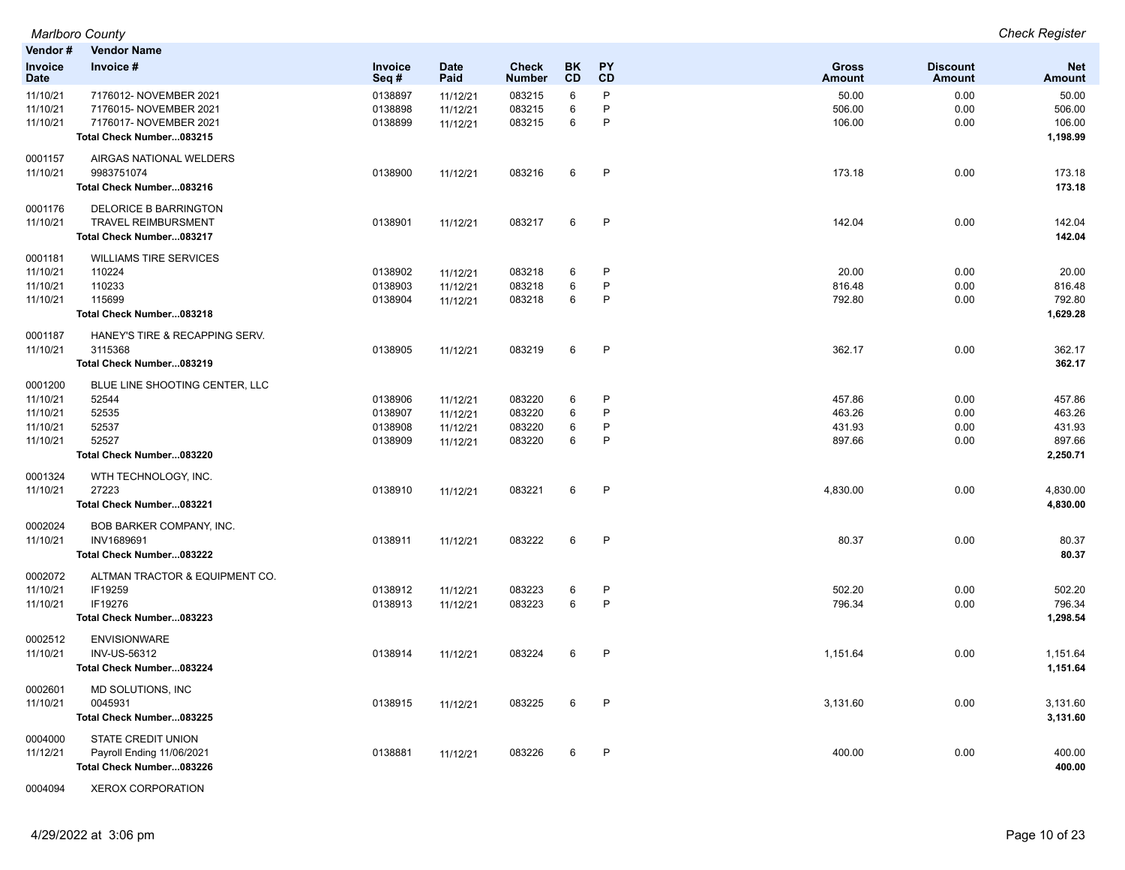| Vendor#                | <b>Vendor Name</b>                                 |                    |                      |                               |                 |          |                               |                           |                             |
|------------------------|----------------------------------------------------|--------------------|----------------------|-------------------------------|-----------------|----------|-------------------------------|---------------------------|-----------------------------|
| Invoice<br><b>Date</b> | Invoice #                                          | Invoice<br>Seq#    | <b>Date</b><br>Paid  | <b>Check</b><br><b>Number</b> | <b>BK</b><br>CD | PY<br>CD | <b>Gross</b><br><b>Amount</b> | <b>Discount</b><br>Amount | <b>Net</b><br><b>Amount</b> |
| 11/10/21               | 7176012- NOVEMBER 2021                             | 0138897            | 11/12/21             | 083215                        | 6               | P        | 50.00                         | 0.00                      | 50.00                       |
| 11/10/21               | 7176015- NOVEMBER 2021                             | 0138898            | 11/12/21             | 083215                        | 6               | P<br>P   | 506.00                        | 0.00                      | 506.00<br>106.00            |
| 11/10/21               | 7176017- NOVEMBER 2021<br>Total Check Number083215 | 0138899            | 11/12/21             | 083215                        | 6               |          | 106.00                        | 0.00                      | 1,198.99                    |
|                        |                                                    |                    |                      |                               |                 |          |                               |                           |                             |
| 0001157                | AIRGAS NATIONAL WELDERS                            |                    |                      |                               |                 |          |                               |                           |                             |
| 11/10/21               | 9983751074<br>Total Check Number083216             | 0138900            | 11/12/21             | 083216                        | 6               | P        | 173.18                        | 0.00                      | 173.18<br>173.18            |
|                        |                                                    |                    |                      |                               |                 |          |                               |                           |                             |
| 0001176                | <b>DELORICE B BARRINGTON</b>                       |                    |                      |                               |                 |          |                               |                           |                             |
| 11/10/21               | <b>TRAVEL REIMBURSMENT</b>                         | 0138901            | 11/12/21             | 083217                        | 6               | P        | 142.04                        | 0.00                      | 142.04                      |
|                        | Total Check Number083217                           |                    |                      |                               |                 |          |                               |                           | 142.04                      |
| 0001181                | <b>WILLIAMS TIRE SERVICES</b>                      |                    |                      |                               |                 |          |                               |                           |                             |
| 11/10/21               | 110224                                             | 0138902            | 11/12/21             | 083218                        | 6               | P        | 20.00                         | 0.00                      | 20.00                       |
| 11/10/21<br>11/10/21   | 110233<br>115699                                   | 0138903            | 11/12/21             | 083218                        | 6<br>6          | P<br>P   | 816.48<br>792.80              | 0.00                      | 816.48<br>792.80            |
|                        | Total Check Number083218                           | 0138904            | 11/12/21             | 083218                        |                 |          |                               | 0.00                      | 1,629.28                    |
|                        |                                                    |                    |                      |                               |                 |          |                               |                           |                             |
| 0001187                | HANEY'S TIRE & RECAPPING SERV.                     |                    |                      |                               |                 |          |                               |                           |                             |
| 11/10/21               | 3115368<br>Total Check Number083219                | 0138905            | 11/12/21             | 083219                        | 6               | P        | 362.17                        | 0.00                      | 362.17<br>362.17            |
|                        |                                                    |                    |                      |                               |                 |          |                               |                           |                             |
| 0001200                | BLUE LINE SHOOTING CENTER, LLC                     |                    |                      |                               |                 |          |                               |                           |                             |
| 11/10/21               | 52544<br>52535                                     | 0138906            | 11/12/21             | 083220                        | 6               | P<br>P   | 457.86<br>463.26              | 0.00<br>0.00              | 457.86                      |
| 11/10/21<br>11/10/21   | 52537                                              | 0138907<br>0138908 | 11/12/21<br>11/12/21 | 083220<br>083220              | 6<br>6          | P        | 431.93                        | 0.00                      | 463.26<br>431.93            |
| 11/10/21               | 52527                                              | 0138909            | 11/12/21             | 083220                        | 6               | P        | 897.66                        | 0.00                      | 897.66                      |
|                        | Total Check Number083220                           |                    |                      |                               |                 |          |                               |                           | 2,250.71                    |
| 0001324                | WTH TECHNOLOGY, INC.                               |                    |                      |                               |                 |          |                               |                           |                             |
| 11/10/21               | 27223                                              | 0138910            | 11/12/21             | 083221                        | 6               | P        | 4,830.00                      | 0.00                      | 4,830.00                    |
|                        | Total Check Number083221                           |                    |                      |                               |                 |          |                               |                           | 4,830.00                    |
| 0002024                | <b>BOB BARKER COMPANY, INC.</b>                    |                    |                      |                               |                 |          |                               |                           |                             |
| 11/10/21               | INV1689691                                         | 0138911            | 11/12/21             | 083222                        | 6               | P        | 80.37                         | 0.00                      | 80.37                       |
|                        | Total Check Number083222                           |                    |                      |                               |                 |          |                               |                           | 80.37                       |
| 0002072                | ALTMAN TRACTOR & EQUIPMENT CO.                     |                    |                      |                               |                 |          |                               |                           |                             |
| 11/10/21               | IF19259                                            | 0138912            | 11/12/21             | 083223                        | 6               | P        | 502.20                        | 0.00                      | 502.20                      |
| 11/10/21               | IF19276                                            | 0138913            | 11/12/21             | 083223                        | 6               | P        | 796.34                        | 0.00                      | 796.34                      |
|                        | Total Check Number083223                           |                    |                      |                               |                 |          |                               |                           | 1,298.54                    |
| 0002512                | <b>ENVISIONWARE</b>                                |                    |                      |                               |                 |          |                               |                           |                             |
| 11/10/21               | INV-US-56312                                       | 0138914            | 11/12/21             | 083224                        | 6               | P        | 1,151.64                      | 0.00                      | 1,151.64                    |
|                        | Total Check Number083224                           |                    |                      |                               |                 |          |                               |                           | 1,151.64                    |
| 0002601                | MD SOLUTIONS, INC                                  |                    |                      |                               |                 |          |                               |                           |                             |
| 11/10/21               | 0045931                                            | 0138915            | 11/12/21             | 083225                        | 6               | P        | 3,131.60                      | 0.00                      | 3,131.60                    |
|                        | Total Check Number083225                           |                    |                      |                               |                 |          |                               |                           | 3,131.60                    |
| 0004000                | <b>STATE CREDIT UNION</b>                          |                    |                      |                               |                 |          |                               |                           |                             |
| 11/12/21               | Payroll Ending 11/06/2021                          | 0138881            | 11/12/21             | 083226                        | 6               | P        | 400.00                        | 0.00                      | 400.00                      |
|                        | Total Check Number083226                           |                    |                      |                               |                 |          |                               |                           | 400.00                      |
|                        |                                                    |                    |                      |                               |                 |          |                               |                           |                             |

0004094 XEROX CORPORATION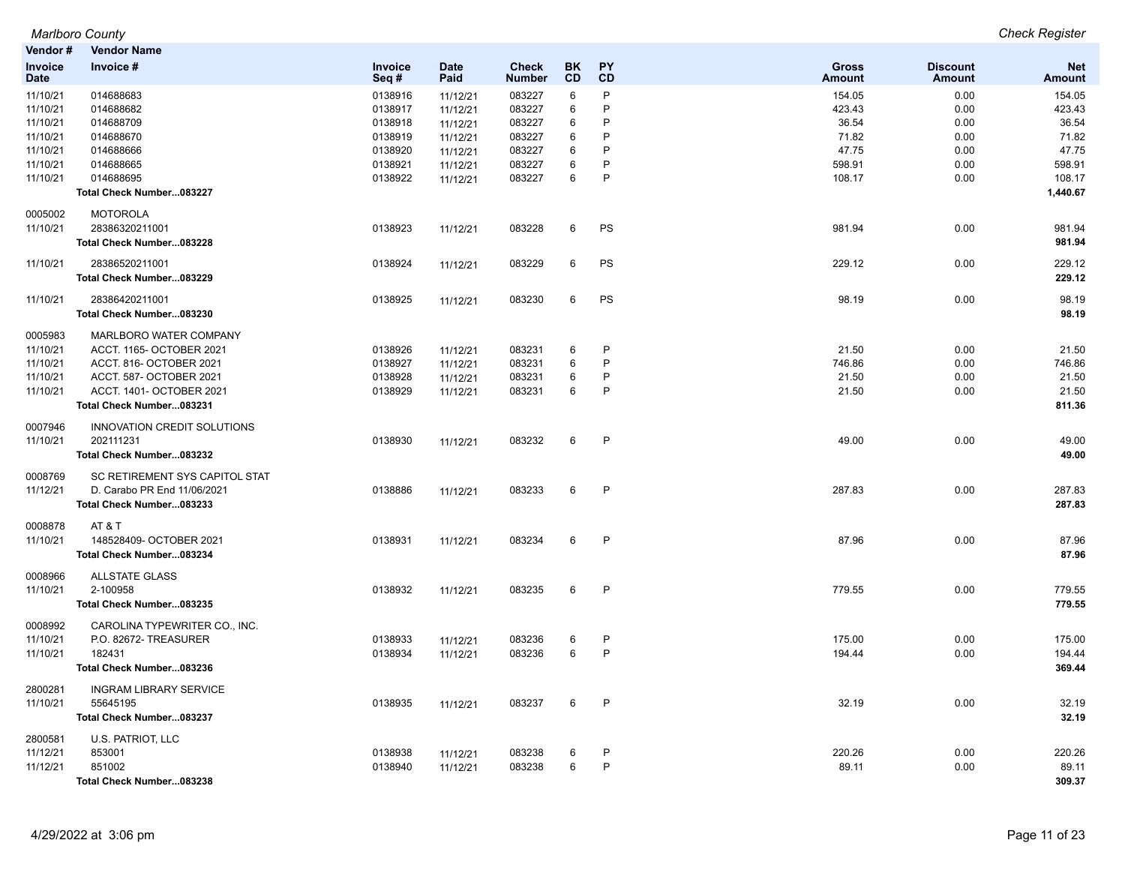| Vendor#                | <b>Vendor Name</b>                |                 |                     |                               |                 |                 |                        |                                  |                      |
|------------------------|-----------------------------------|-----------------|---------------------|-------------------------------|-----------------|-----------------|------------------------|----------------------------------|----------------------|
| Invoice<br><b>Date</b> | Invoice #                         | Invoice<br>Seq# | <b>Date</b><br>Paid | <b>Check</b><br><b>Number</b> | <b>BK</b><br>CD | <b>PY</b><br>CD | Gross<br><b>Amount</b> | <b>Discount</b><br><b>Amount</b> | <b>Net</b><br>Amount |
| 11/10/21               | 014688683                         | 0138916         | 11/12/21            | 083227                        | 6               | P               | 154.05                 | 0.00                             | 154.05               |
| 11/10/21               | 014688682                         | 0138917         | 11/12/21            | 083227                        | 6               | P               | 423.43                 | 0.00                             | 423.43               |
| 11/10/21               | 014688709                         | 0138918         | 11/12/21            | 083227                        | 6               | P               | 36.54                  | 0.00                             | 36.54                |
| 11/10/21               | 014688670                         | 0138919         | 11/12/21            | 083227                        | 6               | P               | 71.82                  | 0.00                             | 71.82                |
| 11/10/21               | 014688666                         | 0138920         | 11/12/21            | 083227                        | 6               | P               | 47.75                  | 0.00                             | 47.75                |
| 11/10/21               | 014688665                         | 0138921         | 11/12/21            | 083227                        | 6               | P               | 598.91                 | 0.00                             | 598.91               |
| 11/10/21               | 014688695                         | 0138922         | 11/12/21            | 083227                        | 6               | P               | 108.17                 | 0.00                             | 108.17               |
|                        | Total Check Number083227          |                 |                     |                               |                 |                 |                        |                                  | 1,440.67             |
| 0005002<br>11/10/21    | <b>MOTOROLA</b><br>28386320211001 | 0138923         |                     | 083228                        | 6               | PS              | 981.94                 | 0.00                             | 981.94               |
|                        | Total Check Number083228          |                 | 11/12/21            |                               |                 |                 |                        |                                  | 981.94               |
|                        |                                   |                 |                     |                               |                 |                 |                        |                                  |                      |
| 11/10/21               | 28386520211001                    | 0138924         | 11/12/21            | 083229                        | 6               | PS              | 229.12                 | 0.00                             | 229.12               |
|                        | Total Check Number083229          |                 |                     |                               |                 |                 |                        |                                  | 229.12               |
| 11/10/21               | 28386420211001                    | 0138925         | 11/12/21            | 083230                        | 6               | PS              | 98.19                  | 0.00                             | 98.19                |
|                        | Total Check Number083230          |                 |                     |                               |                 |                 |                        |                                  | 98.19                |
| 0005983                | MARLBORO WATER COMPANY            |                 |                     |                               |                 |                 |                        |                                  |                      |
| 11/10/21               | ACCT. 1165- OCTOBER 2021          | 0138926         | 11/12/21            | 083231                        | 6               | P               | 21.50                  | 0.00                             | 21.50                |
| 11/10/21               | ACCT. 816- OCTOBER 2021           | 0138927         | 11/12/21            | 083231                        | 6               | P               | 746.86                 | 0.00                             | 746.86               |
| 11/10/21               | ACCT. 587- OCTOBER 2021           | 0138928         | 11/12/21            | 083231                        | 6               | P               | 21.50                  | 0.00                             | 21.50                |
| 11/10/21               | ACCT. 1401- OCTOBER 2021          | 0138929         | 11/12/21            | 083231                        | 6               | $\mathsf{P}$    | 21.50                  | 0.00                             | 21.50                |
|                        | Total Check Number083231          |                 |                     |                               |                 |                 |                        |                                  | 811.36               |
| 0007946                | INNOVATION CREDIT SOLUTIONS       |                 |                     |                               |                 |                 |                        |                                  |                      |
| 11/10/21               | 202111231                         | 0138930         | 11/12/21            | 083232                        | 6               | P               | 49.00                  | 0.00                             | 49.00                |
|                        | Total Check Number083232          |                 |                     |                               |                 |                 |                        |                                  | 49.00                |
| 0008769                | SC RETIREMENT SYS CAPITOL STAT    |                 |                     |                               |                 |                 |                        |                                  |                      |
| 11/12/21               | D. Carabo PR End 11/06/2021       | 0138886         | 11/12/21            | 083233                        | 6               | P               | 287.83                 | 0.00                             | 287.83               |
|                        | Total Check Number083233          |                 |                     |                               |                 |                 |                        |                                  | 287.83               |
| 0008878                | AT&T                              |                 |                     |                               |                 |                 |                        |                                  |                      |
| 11/10/21               | 148528409- OCTOBER 2021           | 0138931         | 11/12/21            | 083234                        | 6               | $\mathsf{P}$    | 87.96                  | 0.00                             | 87.96                |
|                        | Total Check Number083234          |                 |                     |                               |                 |                 |                        |                                  | 87.96                |
| 0008966                | <b>ALLSTATE GLASS</b>             |                 |                     |                               |                 |                 |                        |                                  |                      |
| 11/10/21               | 2-100958                          | 0138932         | 11/12/21            | 083235                        | 6               | $\mathsf{P}$    | 779.55                 | 0.00                             | 779.55               |
|                        | Total Check Number083235          |                 |                     |                               |                 |                 |                        |                                  | 779.55               |
| 0008992                | CAROLINA TYPEWRITER CO., INC.     |                 |                     |                               |                 |                 |                        |                                  |                      |
| 11/10/21               | P.O. 82672- TREASURER             | 0138933         | 11/12/21            | 083236                        | 6               | P               | 175.00                 | 0.00                             | 175.00               |
| 11/10/21               | 182431                            | 0138934         | 11/12/21            | 083236                        | 6               | P               | 194.44                 | 0.00                             | 194.44               |
|                        | Total Check Number083236          |                 |                     |                               |                 |                 |                        |                                  | 369.44               |
| 2800281                | <b>INGRAM LIBRARY SERVICE</b>     |                 |                     |                               |                 |                 |                        |                                  |                      |
| 11/10/21               | 55645195                          | 0138935         | 11/12/21            | 083237                        | 6               | P               | 32.19                  | 0.00                             | 32.19                |
|                        | Total Check Number083237          |                 |                     |                               |                 |                 |                        |                                  | 32.19                |
| 2800581                | U.S. PATRIOT, LLC                 |                 |                     |                               |                 |                 |                        |                                  |                      |
| 11/12/21               | 853001                            | 0138938         | 11/12/21            | 083238                        | 6               | $\mathsf{P}$    | 220.26                 | 0.00                             | 220.26               |
| 11/12/21               | 851002                            | 0138940         | 11/12/21            | 083238                        | 6               | P               | 89.11                  | 0.00                             | 89.11                |

**Total Check Number...083238 309.37**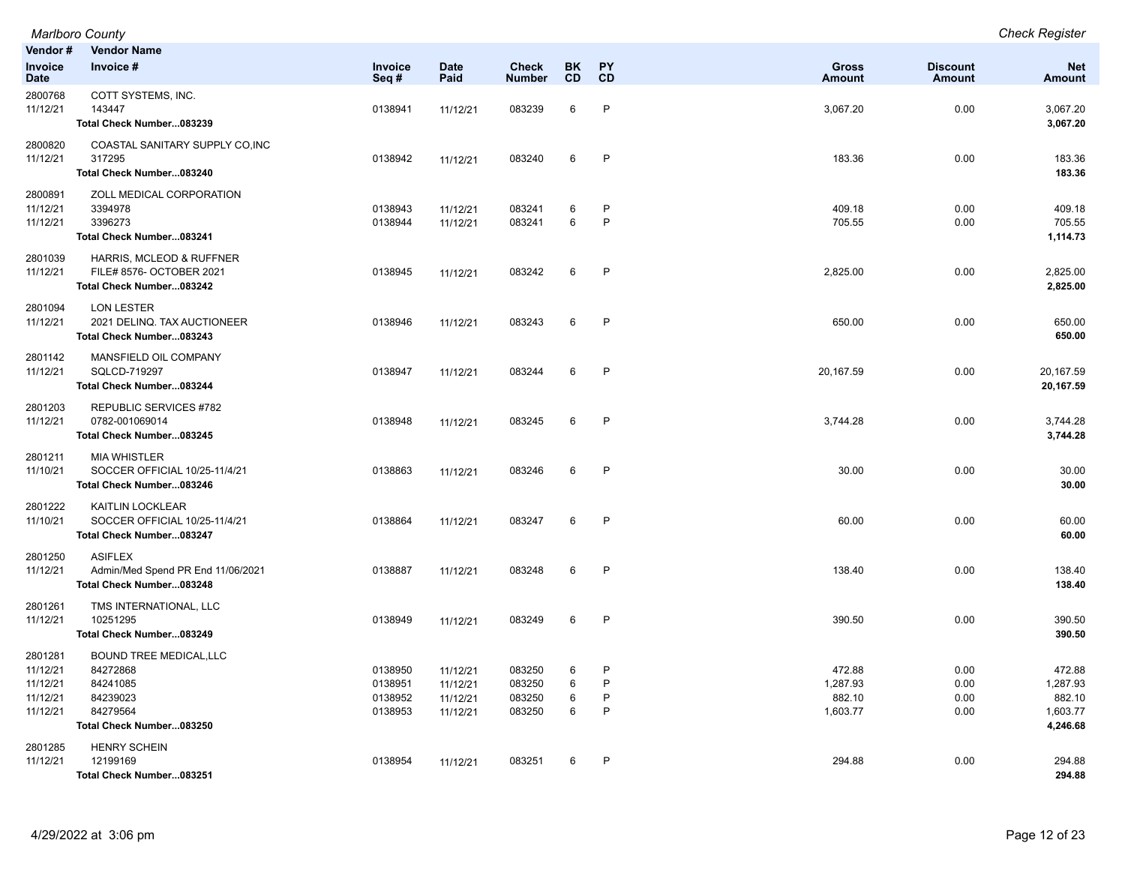| Marlboro County | <b>Check Register</b> |
|-----------------|-----------------------|
|-----------------|-----------------------|

| Vendor #                                                | <b>Vendor Name</b>                                                                                         |                                          |                                              |                                      |                  |                             |                                          |                                  |                                                      |
|---------------------------------------------------------|------------------------------------------------------------------------------------------------------------|------------------------------------------|----------------------------------------------|--------------------------------------|------------------|-----------------------------|------------------------------------------|----------------------------------|------------------------------------------------------|
| <b>Invoice</b><br><b>Date</b>                           | Invoice #                                                                                                  | Invoice<br>Seq#                          | <b>Date</b><br>Paid                          | Check<br><b>Number</b>               | <b>BK</b><br>CD  | PY<br>CD                    | Gross<br><b>Amount</b>                   | <b>Discount</b><br><b>Amount</b> | <b>Net</b><br><b>Amount</b>                          |
| 2800768<br>11/12/21                                     | COTT SYSTEMS, INC.<br>143447<br>Total Check Number083239                                                   | 0138941                                  | 11/12/21                                     | 083239                               | 6                | $\mathsf{P}$                | 3,067.20                                 | 0.00                             | 3,067.20<br>3,067.20                                 |
| 2800820<br>11/12/21                                     | COASTAL SANITARY SUPPLY CO, INC<br>317295<br>Total Check Number083240                                      | 0138942                                  | 11/12/21                                     | 083240                               | 6                | $\mathsf{P}$                | 183.36                                   | 0.00                             | 183.36<br>183.36                                     |
| 2800891<br>11/12/21<br>11/12/21                         | ZOLL MEDICAL CORPORATION<br>3394978<br>3396273<br>Total Check Number083241                                 | 0138943<br>0138944                       | 11/12/21<br>11/12/21                         | 083241<br>083241                     | 6<br>6           | P<br>$\mathsf{P}$           | 409.18<br>705.55                         | 0.00<br>0.00                     | 409.18<br>705.55<br>1,114.73                         |
| 2801039<br>11/12/21                                     | HARRIS, MCLEOD & RUFFNER<br>FILE# 8576- OCTOBER 2021<br>Total Check Number083242                           | 0138945                                  | 11/12/21                                     | 083242                               | 6                | $\mathsf{P}$                | 2,825.00                                 | 0.00                             | 2,825.00<br>2,825.00                                 |
| 2801094<br>11/12/21                                     | <b>LON LESTER</b><br>2021 DELINQ. TAX AUCTIONEER<br>Total Check Number083243                               | 0138946                                  | 11/12/21                                     | 083243                               | 6                | $\mathsf{P}$                | 650.00                                   | 0.00                             | 650.00<br>650.00                                     |
| 2801142<br>11/12/21                                     | MANSFIELD OIL COMPANY<br>SQLCD-719297<br>Total Check Number083244                                          | 0138947                                  | 11/12/21                                     | 083244                               | 6                | $\mathsf{P}$                | 20,167.59                                | 0.00                             | 20,167.59<br>20,167.59                               |
| 2801203<br>11/12/21                                     | REPUBLIC SERVICES #782<br>0782-001069014<br>Total Check Number083245                                       | 0138948                                  | 11/12/21                                     | 083245                               | 6                | $\mathsf{P}$                | 3,744.28                                 | 0.00                             | 3,744.28<br>3,744.28                                 |
| 2801211<br>11/10/21                                     | <b>MIA WHISTLER</b><br>SOCCER OFFICIAL 10/25-11/4/21<br>Total Check Number083246                           | 0138863                                  | 11/12/21                                     | 083246                               | 6                | $\mathsf{P}$                | 30.00                                    | 0.00                             | 30.00<br>30.00                                       |
| 2801222<br>11/10/21                                     | KAITLIN LOCKLEAR<br>SOCCER OFFICIAL 10/25-11/4/21<br>Total Check Number083247                              | 0138864                                  | 11/12/21                                     | 083247                               | 6                | $\mathsf{P}$                | 60.00                                    | 0.00                             | 60.00<br>60.00                                       |
| 2801250<br>11/12/21                                     | <b>ASIFLEX</b><br>Admin/Med Spend PR End 11/06/2021<br>Total Check Number083248                            | 0138887                                  | 11/12/21                                     | 083248                               | 6                | $\mathsf{P}$                | 138.40                                   | 0.00                             | 138.40<br>138.40                                     |
| 2801261<br>11/12/21                                     | TMS INTERNATIONAL, LLC<br>10251295<br>Total Check Number083249                                             | 0138949                                  | 11/12/21                                     | 083249                               | 6                | $\mathsf{P}$                | 390.50                                   | 0.00                             | 390.50<br>390.50                                     |
| 2801281<br>11/12/21<br>11/12/21<br>11/12/21<br>11/12/21 | <b>BOUND TREE MEDICAL, LLC</b><br>84272868<br>84241085<br>84239023<br>84279564<br>Total Check Number083250 | 0138950<br>0138951<br>0138952<br>0138953 | 11/12/21<br>11/12/21<br>11/12/21<br>11/12/21 | 083250<br>083250<br>083250<br>083250 | 6<br>6<br>6<br>6 | P<br>P<br>$\mathsf{P}$<br>P | 472.88<br>1,287.93<br>882.10<br>1,603.77 | 0.00<br>0.00<br>0.00<br>0.00     | 472.88<br>1,287.93<br>882.10<br>1,603.77<br>4,246.68 |
| 2801285<br>11/12/21                                     | <b>HENRY SCHEIN</b><br>12199169<br>Total Check Number083251                                                | 0138954                                  | 11/12/21                                     | 083251                               | 6                | $\mathsf{P}$                | 294.88                                   | 0.00                             | 294.88<br>294.88                                     |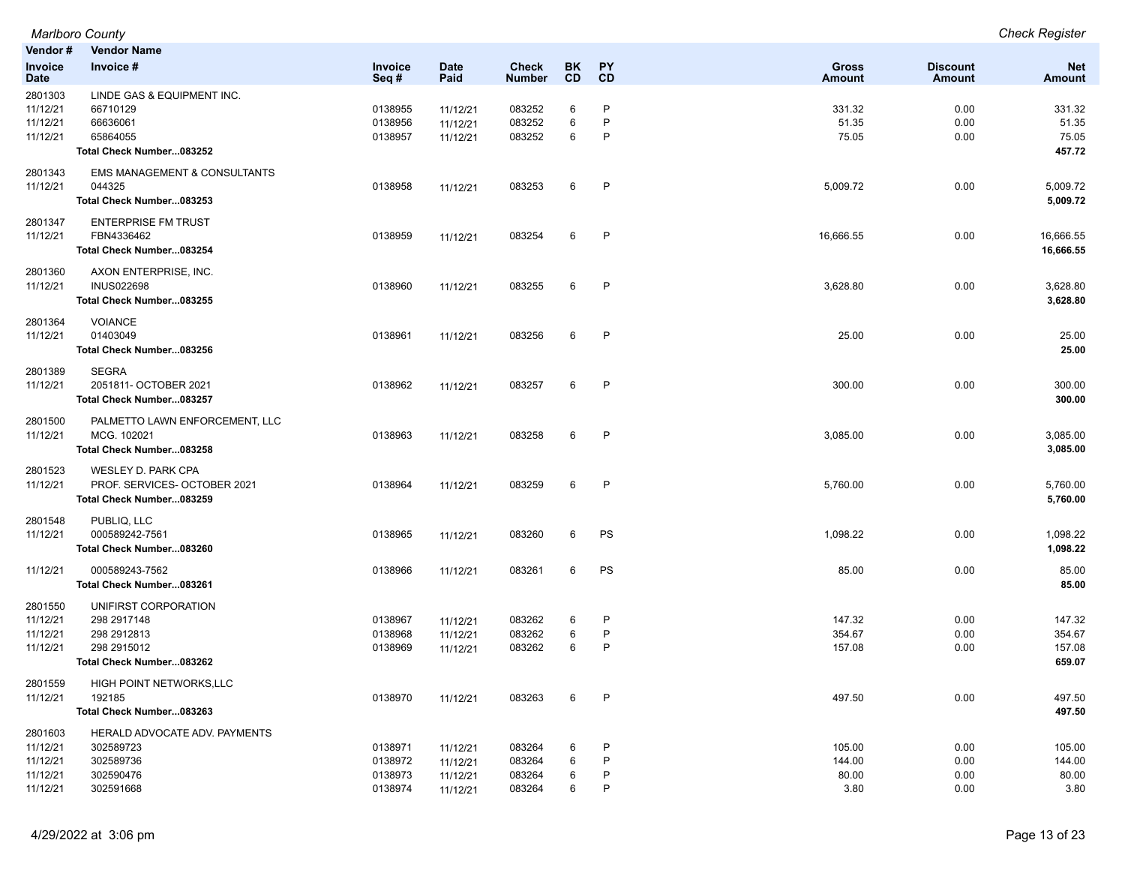|                | <b>Marlboro County</b>                  |         |             |               |           |              |               |                 | <b>Check Register</b> |
|----------------|-----------------------------------------|---------|-------------|---------------|-----------|--------------|---------------|-----------------|-----------------------|
| Vendor#        | <b>Vendor Name</b>                      |         |             |               |           |              |               |                 |                       |
| <b>Invoice</b> | Invoice #                               | Invoice | <b>Date</b> | <b>Check</b>  | BK        | <b>PY</b>    | <b>Gross</b>  | <b>Discount</b> | <b>Net</b>            |
| Date           |                                         | Seq#    | Paid        | <b>Number</b> | <b>CD</b> | <b>CD</b>    | <b>Amount</b> | Amount          | <b>Amount</b>         |
| 2801303        | LINDE GAS & EQUIPMENT INC.              |         |             |               |           |              |               |                 |                       |
| 11/12/21       | 66710129                                | 0138955 | 11/12/21    | 083252        | 6         | P            | 331.32        | 0.00            | 331.32                |
| 11/12/21       | 66636061                                | 0138956 | 11/12/21    | 083252        | 6         | P            | 51.35         | 0.00            | 51.35                 |
| 11/12/21       | 65864055                                | 0138957 | 11/12/21    | 083252        | 6         | P            | 75.05         | 0.00            | 75.05                 |
|                | Total Check Number083252                |         |             |               |           |              |               |                 | 457.72                |
| 2801343        | <b>EMS MANAGEMENT &amp; CONSULTANTS</b> |         |             |               |           |              |               |                 |                       |
| 11/12/21       | 044325                                  | 0138958 | 11/12/21    | 083253        | 6         | P            | 5,009.72      | 0.00            | 5,009.72              |
|                | Total Check Number083253                |         |             |               |           |              |               |                 | 5,009.72              |
| 2801347        | <b>ENTERPRISE FM TRUST</b>              |         |             |               |           |              |               |                 |                       |
| 11/12/21       | FBN4336462                              | 0138959 | 11/12/21    | 083254        | 6         | $\mathsf{P}$ | 16,666.55     | 0.00            | 16,666.55             |
|                | Total Check Number083254                |         |             |               |           |              |               |                 | 16,666.55             |
| 2801360        | AXON ENTERPRISE, INC.                   |         |             |               |           |              |               |                 |                       |
| 11/12/21       | <b>INUS022698</b>                       | 0138960 | 11/12/21    | 083255        | 6         | P            | 3,628.80      | 0.00            | 3,628.80              |
|                | Total Check Number083255                |         |             |               |           |              |               |                 | 3,628.80              |
| 2801364        | <b>VOIANCE</b>                          |         |             |               |           |              |               |                 |                       |
| 11/12/21       | 01403049                                | 0138961 | 11/12/21    | 083256        | 6         | P            | 25.00         | 0.00            | 25.00                 |
|                | Total Check Number083256                |         |             |               |           |              |               |                 | 25.00                 |
| 2801389        | <b>SEGRA</b>                            |         |             |               |           |              |               |                 |                       |
| 11/12/21       | 2051811- OCTOBER 2021                   | 0138962 | 11/12/21    | 083257        | 6         | $\mathsf{P}$ | 300.00        | 0.00            | 300.00                |
|                | Total Check Number083257                |         |             |               |           |              |               |                 | 300.00                |
| 2801500        | PALMETTO LAWN ENFORCEMENT, LLC          |         |             |               |           |              |               |                 |                       |
| 11/12/21       | MCG. 102021                             | 0138963 | 11/12/21    | 083258        | 6         | P            | 3,085.00      | 0.00            | 3,085.00              |
|                | Total Check Number083258                |         |             |               |           |              |               |                 | 3,085.00              |
| 2801523        | WESLEY D. PARK CPA                      |         |             |               |           |              |               |                 |                       |
| 11/12/21       | PROF. SERVICES- OCTOBER 2021            | 0138964 | 11/12/21    | 083259        | 6         | P            | 5,760.00      | 0.00            | 5,760.00              |
|                | Total Check Number083259                |         |             |               |           |              |               |                 | 5,760.00              |
| 2801548        | PUBLIQ, LLC                             |         |             |               |           |              |               |                 |                       |
| 11/12/21       | 000589242-7561                          | 0138965 | 11/12/21    | 083260        | 6         | PS           | 1,098.22      | 0.00            | 1,098.22              |
|                | Total Check Number083260                |         |             |               |           |              |               |                 | 1,098.22              |
| 11/12/21       | 000589243-7562                          | 0138966 | 11/12/21    | 083261        | 6         | PS           | 85.00         | 0.00            | 85.00                 |
|                | Total Check Number083261                |         |             |               |           |              |               |                 | 85.00                 |
| 2801550        | UNIFIRST CORPORATION                    |         |             |               |           |              |               |                 |                       |
| 11/12/21       | 298 2917148                             | 0138967 | 11/12/21    | 083262        | 6         | P            | 147.32        | 0.00            | 147.32                |
| 11/12/21       | 298 291 2813                            | 0138968 | 11/12/21    | 083262        | 6         | P            | 354.67        | 0.00            | 354.67                |
| 11/12/21       | 298 2915012                             | 0138969 | 11/12/21    | 083262        | 6         | P            | 157.08        | 0.00            | 157.08                |
|                | Total Check Number083262                |         |             |               |           |              |               |                 | 659.07                |
| 2801559        | HIGH POINT NETWORKS, LLC                |         |             |               |           |              |               |                 |                       |
| 11/12/21       | 192185                                  | 0138970 | 11/12/21    | 083263        | 6         | P            | 497.50        | 0.00            | 497.50                |
|                | Total Check Number083263                |         |             |               |           |              |               |                 | 497.50                |
| 2801603        | HERALD ADVOCATE ADV. PAYMENTS           |         |             |               |           |              |               |                 |                       |
| 11/12/21       | 302589723                               | 0138971 | 11/12/21    | 083264        | 6         | P            | 105.00        | 0.00            | 105.00                |
| 11/12/21       | 302589736                               | 0138972 | 11/12/21    | 083264        | 6         | P            | 144.00        | 0.00            | 144.00                |
| 11/12/21       | 302590476                               | 0138973 | 11/12/21    | 083264        | 6         | P            | 80.00         | 0.00            | 80.00                 |
| 11/12/21       | 302591668                               | 0138974 | 11/12/21    | 083264        | 6         | P            | 3.80          | 0.00            | 3.80                  |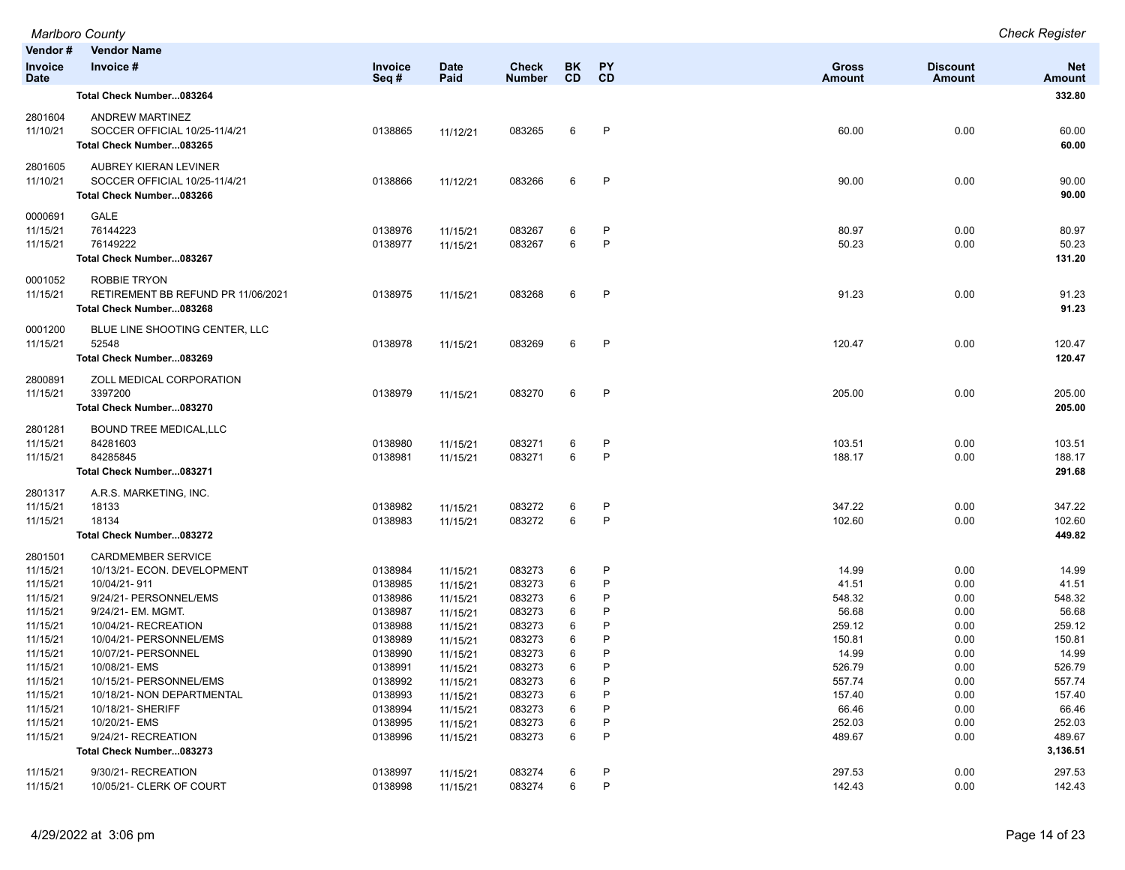|                                                          | <b>Marlboro County</b>                                                                                                   |                                                     |                                                          |                                                |                        |                       |                                               |                                      | <b>Check Register</b>                           |
|----------------------------------------------------------|--------------------------------------------------------------------------------------------------------------------------|-----------------------------------------------------|----------------------------------------------------------|------------------------------------------------|------------------------|-----------------------|-----------------------------------------------|--------------------------------------|-------------------------------------------------|
| Vendor#                                                  | <b>Vendor Name</b>                                                                                                       |                                                     |                                                          |                                                |                        |                       |                                               |                                      |                                                 |
| <b>Invoice</b><br><b>Date</b>                            | Invoice #                                                                                                                | Invoice<br>Seq#                                     | <b>Date</b><br>Paid                                      | <b>Check</b><br><b>Number</b>                  | <b>BK</b><br><b>CD</b> | PY<br>CD              | <b>Gross</b><br><b>Amount</b>                 | <b>Discount</b><br>Amount            | <b>Net</b><br><b>Amount</b>                     |
|                                                          | Total Check Number083264                                                                                                 |                                                     |                                                          |                                                |                        |                       |                                               |                                      | 332.80                                          |
| 2801604<br>11/10/21                                      | ANDREW MARTINEZ<br>SOCCER OFFICIAL 10/25-11/4/21<br>Total Check Number083265                                             | 0138865                                             | 11/12/21                                                 | 083265                                         | 6                      | P                     | 60.00                                         | 0.00                                 | 60.00<br>60.00                                  |
| 2801605<br>11/10/21                                      | AUBREY KIERAN LEVINER<br>SOCCER OFFICIAL 10/25-11/4/21<br>Total Check Number083266                                       | 0138866                                             | 11/12/21                                                 | 083266                                         | 6                      | P                     | 90.00                                         | 0.00                                 | 90.00<br>90.00                                  |
| 0000691<br>11/15/21<br>11/15/21                          | GALE<br>76144223<br>76149222<br>Total Check Number083267                                                                 | 0138976<br>0138977                                  | 11/15/21<br>11/15/21                                     | 083267<br>083267                               | 6<br>6                 | P<br>P                | 80.97<br>50.23                                | 0.00<br>0.00                         | 80.97<br>50.23<br>131.20                        |
| 0001052<br>11/15/21                                      | <b>ROBBIE TRYON</b><br>RETIREMENT BB REFUND PR 11/06/2021<br>Total Check Number083268                                    | 0138975                                             | 11/15/21                                                 | 083268                                         | 6                      | P                     | 91.23                                         | 0.00                                 | 91.23<br>91.23                                  |
| 0001200<br>11/15/21                                      | BLUE LINE SHOOTING CENTER, LLC<br>52548<br>Total Check Number083269                                                      | 0138978                                             | 11/15/21                                                 | 083269                                         | 6                      | P                     | 120.47                                        | 0.00                                 | 120.47<br>120.47                                |
| 2800891<br>11/15/21                                      | ZOLL MEDICAL CORPORATION<br>3397200<br>Total Check Number083270                                                          | 0138979                                             | 11/15/21                                                 | 083270                                         | 6                      | P                     | 205.00                                        | 0.00                                 | 205.00<br>205.00                                |
| 2801281<br>11/15/21<br>11/15/21                          | <b>BOUND TREE MEDICAL, LLC</b><br>84281603<br>84285845<br>Total Check Number083271                                       | 0138980<br>0138981                                  | 11/15/21<br>11/15/21                                     | 083271<br>083271                               | 6<br>6                 | P<br>P                | 103.51<br>188.17                              | 0.00<br>0.00                         | 103.51<br>188.17<br>291.68                      |
| 2801317<br>11/15/21<br>11/15/21                          | A.R.S. MARKETING, INC.<br>18133<br>18134<br>Total Check Number083272                                                     | 0138982<br>0138983                                  | 11/15/21<br>11/15/21                                     | 083272<br>083272                               | 6<br>6                 | P<br>P                | 347.22<br>102.60                              | 0.00<br>0.00                         | 347.22<br>102.60<br>449.82                      |
| 2801501<br>11/15/21<br>11/15/21<br>11/15/21<br>11/15/21  | <b>CARDMEMBER SERVICE</b><br>10/13/21- ECON. DEVELOPMENT<br>10/04/21-911<br>9/24/21- PERSONNEL/EMS<br>9/24/21- EM. MGMT. | 0138984<br>0138985<br>0138986<br>0138987            | 11/15/21<br>11/15/21<br>11/15/21<br>11/15/21             | 083273<br>083273<br>083273<br>083273           | 6<br>6<br>6<br>6       | P<br>P<br>P<br>P<br>P | 14.99<br>41.51<br>548.32<br>56.68             | 0.00<br>0.00<br>0.00<br>0.00         | 14.99<br>41.51<br>548.32<br>56.68               |
| 11/15/21<br>11/15/21<br>11/15/21<br>11/15/21<br>11/15/21 | 10/04/21- RECREATION<br>10/04/21- PERSONNEL/EMS<br>10/07/21- PERSONNEL<br>10/08/21- EMS<br>10/15/21- PERSONNEL/EMS       | 0138988<br>0138989<br>0138990<br>0138991<br>0138992 | 11/15/21<br>11/15/21<br>11/15/21<br>11/15/21<br>11/15/21 | 083273<br>083273<br>083273<br>083273<br>083273 | 6<br>6<br>6<br>6<br>6  | P<br>P<br>P           | 259.12<br>150.81<br>14.99<br>526.79<br>557.74 | 0.00<br>0.00<br>0.00<br>0.00<br>0.00 | 259.12<br>150.81<br>14.99<br>526.79<br>557.74   |
| 11/15/21<br>11/15/21<br>11/15/21<br>11/15/21             | 10/18/21- NON DEPARTMENTAL<br>10/18/21- SHERIFF<br>10/20/21- EMS<br>9/24/21-RECREATION<br>Total Check Number083273       | 0138993<br>0138994<br>0138995<br>0138996            | 11/15/21<br>11/15/21<br>11/15/21<br>11/15/21             | 083273<br>083273<br>083273<br>083273           | 6<br>6<br>6<br>6       | P<br>P                | 157.40<br>66.46<br>252.03<br>489.67           | 0.00<br>0.00<br>0.00<br>0.00         | 157.40<br>66.46<br>252.03<br>489.67<br>3,136.51 |
| 11/15/21<br>11/15/21                                     | 9/30/21- RECREATION<br>10/05/21- CLERK OF COURT                                                                          | 0138997<br>0138998                                  | 11/15/21<br>11/15/21                                     | 083274<br>083274                               | 6<br>6                 | P<br>P                | 297.53<br>142.43                              | 0.00<br>0.00                         | 297.53<br>142.43                                |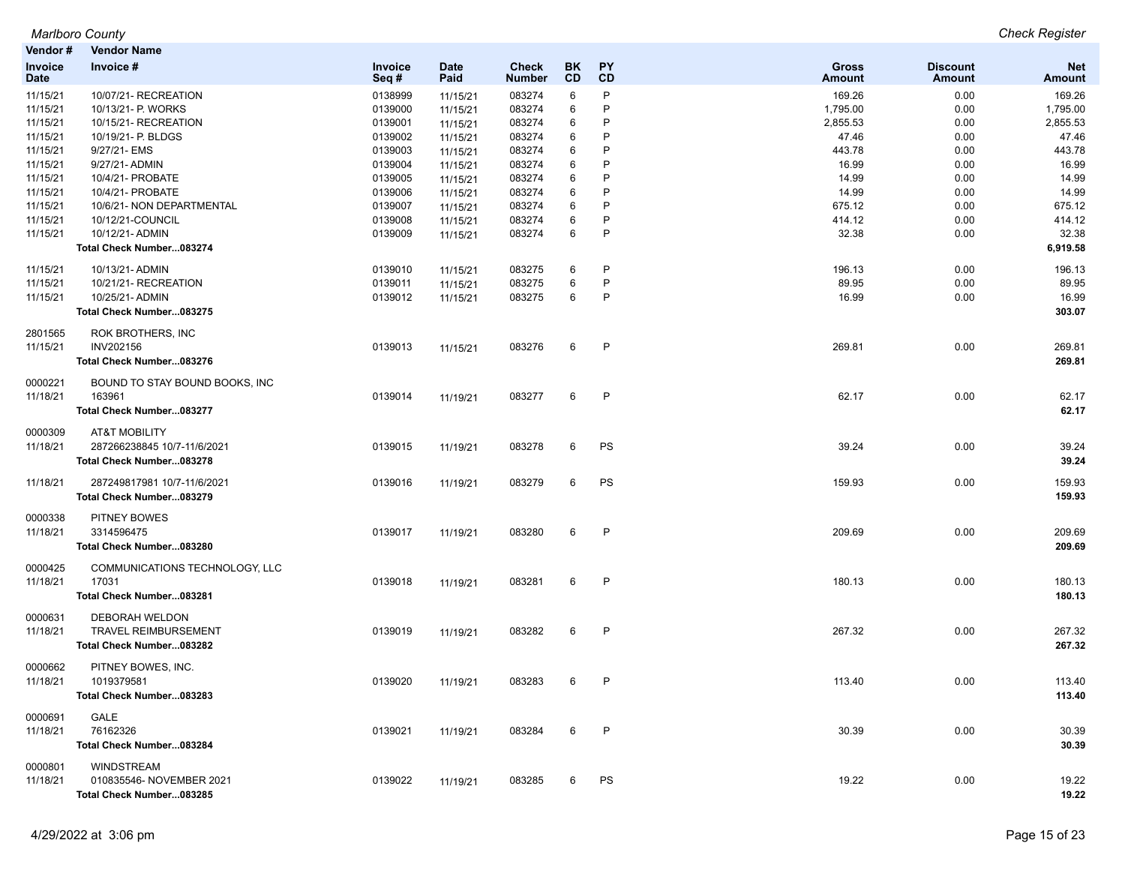| Marlboro County                              | <b>Check Register</b> |
|----------------------------------------------|-----------------------|
| <b><i>Mandandh</i></b><br><b>Monday Name</b> |                       |

| venaor #                      | vendor Name                    |                 |                     |                        |                  |                        |                        |                           |                             |
|-------------------------------|--------------------------------|-----------------|---------------------|------------------------|------------------|------------------------|------------------------|---------------------------|-----------------------------|
| <b>Invoice</b><br><b>Date</b> | Invoice #                      | Invoice<br>Seq# | <b>Date</b><br>Paid | Check<br><b>Number</b> | BK.<br><b>CD</b> | <b>PY</b><br><b>CD</b> | Gross<br><b>Amount</b> | <b>Discount</b><br>Amount | <b>Net</b><br><b>Amount</b> |
| 11/15/21                      | 10/07/21- RECREATION           | 0138999         | 11/15/21            | 083274                 | 6                | P                      | 169.26                 | 0.00                      | 169.26                      |
| 11/15/21                      | 10/13/21- P. WORKS             | 0139000         | 11/15/21            | 083274                 | 6                | P                      | 1,795.00               | 0.00                      | 1,795.00                    |
| 11/15/21                      | 10/15/21- RECREATION           | 0139001         | 11/15/21            | 083274                 | 6                | P                      | 2,855.53               | 0.00                      | 2,855.53                    |
| 11/15/21                      | 10/19/21- P. BLDGS             | 0139002         | 11/15/21            | 083274                 | 6                | P                      | 47.46                  | 0.00                      | 47.46                       |
| 11/15/21                      | 9/27/21- EMS                   | 0139003         | 11/15/21            | 083274                 | 6                | P                      | 443.78                 | 0.00                      | 443.78                      |
| 11/15/21                      | 9/27/21- ADMIN                 | 0139004         | 11/15/21            | 083274                 | 6                | P                      | 16.99                  | 0.00                      | 16.99                       |
| 11/15/21                      | 10/4/21- PROBATE               | 0139005         | 11/15/21            | 083274                 | 6                | P                      | 14.99                  | 0.00                      | 14.99                       |
| 11/15/21                      | 10/4/21- PROBATE               | 0139006         | 11/15/21            | 083274                 | 6                | P                      | 14.99                  | 0.00                      | 14.99                       |
| 11/15/21                      | 10/6/21- NON DEPARTMENTAL      | 0139007         | 11/15/21            | 083274                 | 6                | P                      | 675.12                 | 0.00                      | 675.12                      |
| 11/15/21                      | 10/12/21-COUNCIL               | 0139008         | 11/15/21            | 083274                 | 6                | P                      | 414.12                 | 0.00                      | 414.12                      |
| 11/15/21                      | 10/12/21- ADMIN                | 0139009         |                     | 083274                 | 6                | $\mathsf{P}$           | 32.38                  | 0.00                      | 32.38                       |
|                               | Total Check Number083274       |                 | 11/15/21            |                        |                  |                        |                        |                           | 6,919.58                    |
| 11/15/21                      | 10/13/21- ADMIN                | 0139010         | 11/15/21            | 083275                 | 6                | P                      | 196.13                 | 0.00                      | 196.13                      |
| 11/15/21                      | 10/21/21-RECREATION            | 0139011         | 11/15/21            | 083275                 | 6                | P                      | 89.95                  | 0.00                      | 89.95                       |
| 11/15/21                      | 10/25/21- ADMIN                | 0139012         | 11/15/21            | 083275                 | 6                | P                      | 16.99                  | 0.00                      | 16.99                       |
|                               | Total Check Number083275       |                 |                     |                        |                  |                        |                        |                           | 303.07                      |
| 2801565                       | ROK BROTHERS, INC              |                 |                     |                        |                  |                        |                        |                           |                             |
| 11/15/21                      | INV202156                      | 0139013         | 11/15/21            | 083276                 | 6                | P                      | 269.81                 | 0.00                      | 269.81                      |
|                               | Total Check Number083276       |                 |                     |                        |                  |                        |                        |                           | 269.81                      |
| 0000221                       | BOUND TO STAY BOUND BOOKS, INC |                 |                     |                        |                  |                        |                        |                           |                             |
| 11/18/21                      | 163961                         | 0139014         | 11/19/21            | 083277                 | 6                | P                      | 62.17                  | 0.00                      | 62.17                       |
|                               | Total Check Number083277       |                 |                     |                        |                  |                        |                        |                           | 62.17                       |
| 0000309                       | <b>AT&amp;T MOBILITY</b>       |                 |                     |                        |                  |                        |                        |                           |                             |
| 11/18/21                      | 287266238845 10/7-11/6/2021    | 0139015         | 11/19/21            | 083278                 | 6                | PS                     | 39.24                  | 0.00                      | 39.24                       |
|                               | Total Check Number083278       |                 |                     |                        |                  |                        |                        |                           | 39.24                       |
| 11/18/21                      | 287249817981 10/7-11/6/2021    | 0139016         | 11/19/21            | 083279                 | 6                | PS                     | 159.93                 | 0.00                      | 159.93                      |
|                               | Total Check Number083279       |                 |                     |                        |                  |                        |                        |                           | 159.93                      |
| 0000338                       | PITNEY BOWES                   |                 |                     |                        |                  |                        |                        |                           |                             |
| 11/18/21                      | 3314596475                     | 0139017         | 11/19/21            | 083280                 | 6                | P                      | 209.69                 | 0.00                      | 209.69                      |
|                               | Total Check Number083280       |                 |                     |                        |                  |                        |                        |                           | 209.69                      |
| 0000425                       | COMMUNICATIONS TECHNOLOGY, LLC |                 |                     |                        |                  |                        |                        |                           |                             |
| 11/18/21                      | 17031                          | 0139018         | 11/19/21            | 083281                 | 6                | P                      | 180.13                 | 0.00                      | 180.13                      |
|                               | Total Check Number083281       |                 |                     |                        |                  |                        |                        |                           | 180.13                      |
| 0000631                       | DEBORAH WELDON                 |                 |                     |                        |                  |                        |                        |                           |                             |
| 11/18/21                      | <b>TRAVEL REIMBURSEMENT</b>    | 0139019         | 11/19/21            | 083282                 | 6                | P                      | 267.32                 | 0.00                      | 267.32                      |
|                               | Total Check Number083282       |                 |                     |                        |                  |                        |                        |                           | 267.32                      |
| 0000662                       | PITNEY BOWES, INC.             |                 |                     |                        |                  |                        |                        |                           |                             |
| 11/18/21                      | 1019379581                     | 0139020         | 11/19/21            | 083283                 | 6                | P                      | 113.40                 | 0.00                      | 113.40                      |
|                               | Total Check Number083283       |                 |                     |                        |                  |                        |                        |                           | 113.40                      |
|                               | <b>GALE</b>                    |                 |                     |                        |                  |                        |                        |                           |                             |
| 0000691                       |                                |                 |                     |                        |                  |                        |                        |                           |                             |
| 11/18/21                      | 76162326                       | 0139021         | 11/19/21            | 083284                 | 6                | P                      | 30.39                  | 0.00                      | 30.39                       |
|                               | Total Check Number083284       |                 |                     |                        |                  |                        |                        |                           | 30.39                       |
| 0000801                       | <b>WINDSTREAM</b>              |                 |                     |                        |                  |                        |                        |                           |                             |
| 11/18/21                      | 010835546- NOVEMBER 2021       | 0139022         | 11/19/21            | 083285                 | 6                | PS                     | 19.22                  | 0.00                      | 19.22                       |
|                               | Total Check Number083285       |                 |                     |                        |                  |                        |                        |                           | 19.22                       |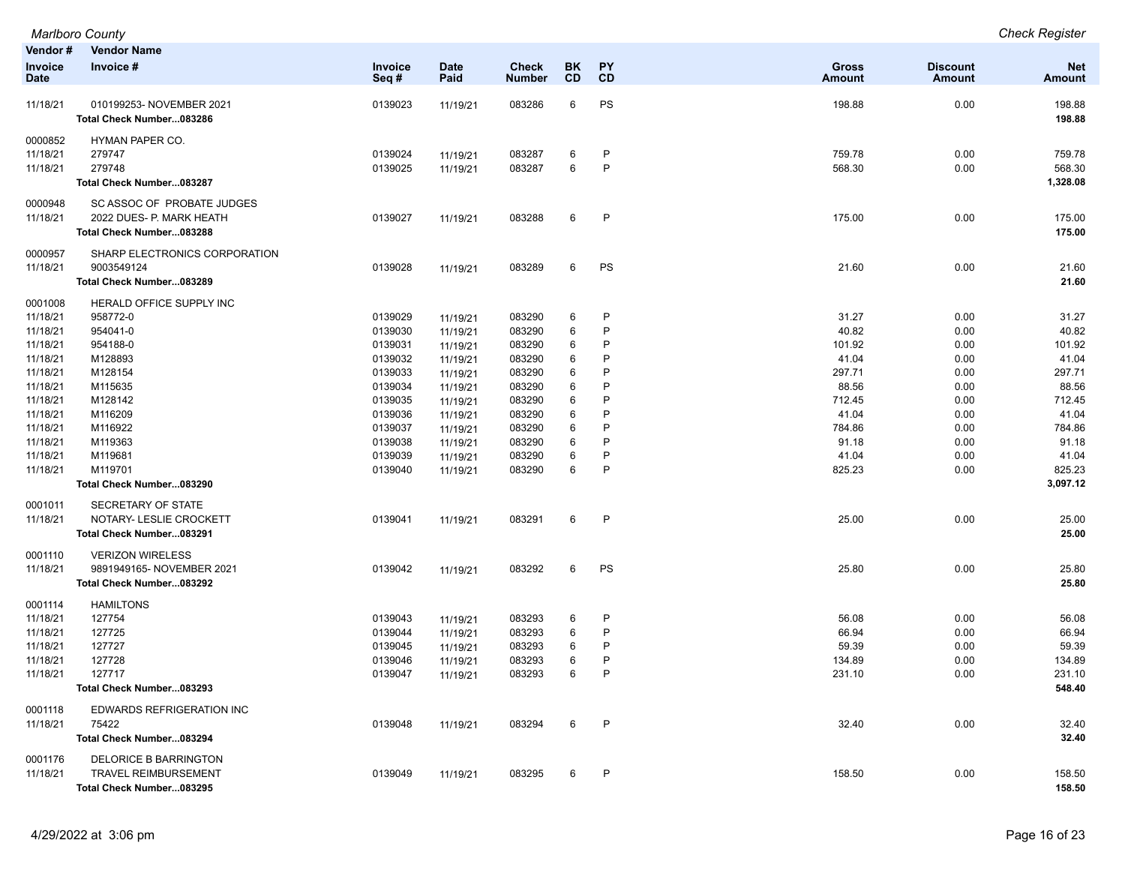| Vendor#<br>Invoice<br><b>Date</b> | <b>Vendor Name</b><br>Invoice #                      | Invoice<br>Seq# | <b>Date</b><br>Paid  | Check<br><b>Number</b> | BK<br>CD | PΥ<br><b>CD</b>              | <b>Gross</b><br><b>Amount</b> | <b>Discount</b><br>Amount | <b>Net</b><br>Amount |
|-----------------------------------|------------------------------------------------------|-----------------|----------------------|------------------------|----------|------------------------------|-------------------------------|---------------------------|----------------------|
| 11/18/21                          | 010199253- NOVEMBER 2021<br>Total Check Number083286 | 0139023         | 11/19/21             | 083286                 | 6        | PS                           | 198.88                        | 0.00                      | 198.88<br>198.88     |
| 0000852                           | <b>HYMAN PAPER CO.</b>                               |                 |                      |                        |          |                              |                               |                           |                      |
| 11/18/21                          | 279747<br>279748                                     | 0139024         | 11/19/21             | 083287                 | 6<br>6   | $\mathsf{P}$<br>$\mathsf{P}$ | 759.78                        | 0.00                      | 759.78               |
| 11/18/21                          | Total Check Number083287                             | 0139025         | 11/19/21             | 083287                 |          |                              | 568.30                        | 0.00                      | 568.30<br>1,328.08   |
| 0000948                           | SC ASSOC OF PROBATE JUDGES                           |                 |                      |                        |          |                              |                               |                           |                      |
| 11/18/21                          | 2022 DUES- P. MARK HEATH                             | 0139027         | 11/19/21             | 083288                 | 6        | $\mathsf{P}$                 | 175.00                        | 0.00                      | 175.00               |
|                                   | Total Check Number083288                             |                 |                      |                        |          |                              |                               |                           | 175.00               |
| 0000957<br>11/18/21               | SHARP ELECTRONICS CORPORATION<br>9003549124          | 0139028         | 11/19/21             | 083289                 | 6        | PS                           | 21.60                         | 0.00                      | 21.60                |
|                                   | Total Check Number083289                             |                 |                      |                        |          |                              |                               |                           | 21.60                |
|                                   |                                                      |                 |                      |                        |          |                              |                               |                           |                      |
| 0001008<br>11/18/21               | HERALD OFFICE SUPPLY INC<br>958772-0                 | 0139029         |                      | 083290                 | 6        | P                            | 31.27                         | 0.00                      | 31.27                |
| 11/18/21                          | 954041-0                                             | 0139030         | 11/19/21             | 083290                 | 6        | P                            | 40.82                         | 0.00                      | 40.82                |
| 11/18/21                          | 954188-0                                             | 0139031         | 11/19/21             | 083290                 | 6        | P                            | 101.92                        | 0.00                      | 101.92               |
| 11/18/21                          | M128893                                              | 0139032         | 11/19/21<br>11/19/21 | 083290                 | 6        | P                            | 41.04                         | 0.00                      | 41.04                |
| 11/18/21                          | M128154                                              | 0139033         | 11/19/21             | 083290                 | 6        | P                            | 297.71                        | 0.00                      | 297.71               |
| 11/18/21                          | M115635                                              | 0139034         | 11/19/21             | 083290                 | 6        | P                            | 88.56                         | 0.00                      | 88.56                |
| 11/18/21                          | M128142                                              | 0139035         | 11/19/21             | 083290                 | 6        | P                            | 712.45                        | 0.00                      | 712.45               |
| 11/18/21                          | M116209                                              | 0139036         | 11/19/21             | 083290                 | 6        | P                            | 41.04                         | 0.00                      | 41.04                |
| 11/18/21                          | M116922                                              | 0139037         | 11/19/21             | 083290                 | 6        | P                            | 784.86                        | 0.00                      | 784.86               |
| 11/18/21                          | M119363                                              | 0139038         | 11/19/21             | 083290                 | 6        | P                            | 91.18                         | 0.00                      | 91.18                |
| 11/18/21                          | M119681                                              | 0139039         | 11/19/21             | 083290                 | 6        | P                            | 41.04                         | 0.00                      | 41.04                |
| 11/18/21                          | M119701                                              | 0139040         | 11/19/21             | 083290                 | 6        | $\mathsf{P}$                 | 825.23                        | 0.00                      | 825.23               |
|                                   | Total Check Number083290                             |                 |                      |                        |          |                              |                               |                           | 3,097.12             |
| 0001011                           | SECRETARY OF STATE                                   |                 |                      |                        |          |                              |                               |                           |                      |
| 11/18/21                          | NOTARY- LESLIE CROCKETT                              | 0139041         | 11/19/21             | 083291                 | 6        | $\mathsf{P}$                 | 25.00                         | 0.00                      | 25.00                |
|                                   | Total Check Number083291                             |                 |                      |                        |          |                              |                               |                           | 25.00                |
| 0001110                           | <b>VERIZON WIRELESS</b>                              |                 |                      |                        |          |                              |                               |                           |                      |
| 11/18/21                          | 9891949165- NOVEMBER 2021                            | 0139042         | 11/19/21             | 083292                 | 6        | PS                           | 25.80                         | 0.00                      | 25.80                |
|                                   | Total Check Number083292                             |                 |                      |                        |          |                              |                               |                           | 25.80                |
| 0001114                           | <b>HAMILTONS</b>                                     |                 |                      |                        |          |                              |                               |                           |                      |
| 11/18/21                          | 127754                                               | 0139043         | 11/19/21             | 083293                 | 6        | $\mathsf{P}$                 | 56.08                         | 0.00                      | 56.08                |
| 11/18/21                          | 127725                                               | 0139044         | 11/19/21             | 083293                 | 6        | P                            | 66.94                         | 0.00                      | 66.94                |
| 11/18/21                          | 127727                                               | 0139045         | 11/19/21             | 083293                 | 6        | P                            | 59.39                         | 0.00                      | 59.39                |
| 11/18/21                          | 127728                                               | 0139046         | 11/19/21             | 083293                 | 6        | P                            | 134.89                        | 0.00                      | 134.89               |
| 11/18/21                          | 127717                                               | 0139047         | 11/19/21             | 083293                 | 6        | P                            | 231.10                        | 0.00                      | 231.10               |
|                                   | Total Check Number083293                             |                 |                      |                        |          |                              |                               |                           | 548.40               |
| 0001118                           | EDWARDS REFRIGERATION INC                            |                 |                      |                        |          |                              |                               |                           |                      |
| 11/18/21                          | 75422                                                | 0139048         | 11/19/21             | 083294                 | 6        | $\mathsf{P}$                 | 32.40                         | 0.00                      | 32.40                |
|                                   | Total Check Number083294                             |                 |                      |                        |          |                              |                               |                           | 32.40                |
| 0001176                           | DELORICE B BARRINGTON                                |                 |                      |                        |          |                              |                               |                           |                      |
| 11/18/21                          | <b>TRAVEL REIMBURSEMENT</b>                          | 0139049         | 11/19/21             | 083295                 | 6        | P                            | 158.50                        | 0.00                      | 158.50               |
|                                   | Total Check Number083295                             |                 |                      |                        |          |                              |                               |                           | 158.50               |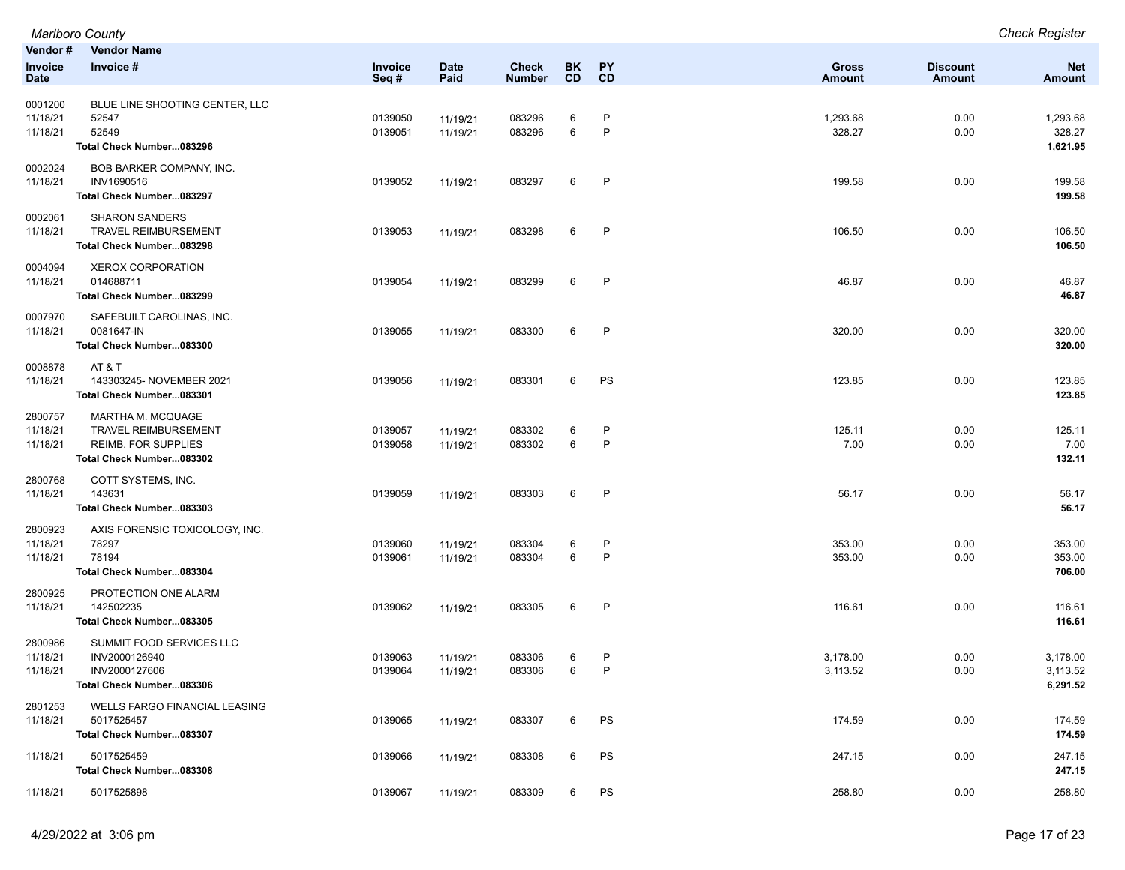|                                 | Marlboro County                                                                                                   |                    |                      |                  |        |              |                      |                 | <b>Check Register</b>            |
|---------------------------------|-------------------------------------------------------------------------------------------------------------------|--------------------|----------------------|------------------|--------|--------------|----------------------|-----------------|----------------------------------|
| Vendor#<br>Invoice              | <b>Vendor Name</b><br>Invoice #                                                                                   | Invoice            | <b>Date</b>          | <b>Check</b>     | BK     | PY           | <b>Gross</b>         | <b>Discount</b> | <b>Net</b>                       |
| <b>Date</b>                     |                                                                                                                   | Seq#               | Paid                 | <b>Number</b>    | CD     | CD           | <b>Amount</b>        | <b>Amount</b>   | <b>Amount</b>                    |
| 0001200<br>11/18/21<br>11/18/21 | BLUE LINE SHOOTING CENTER, LLC<br>52547<br>52549<br>Total Check Number083296                                      | 0139050<br>0139051 | 11/19/21<br>11/19/21 | 083296<br>083296 | 6<br>6 | P<br>P       | 1,293.68<br>328.27   | 0.00<br>0.00    | 1,293.68<br>328.27<br>1,621.95   |
| 0002024<br>11/18/21             | BOB BARKER COMPANY, INC.<br>INV1690516<br>Total Check Number083297                                                | 0139052            | 11/19/21             | 083297           | 6      | P            | 199.58               | 0.00            | 199.58<br>199.58                 |
| 0002061<br>11/18/21             | <b>SHARON SANDERS</b><br><b>TRAVEL REIMBURSEMENT</b><br>Total Check Number083298                                  | 0139053            | 11/19/21             | 083298           | 6      | P            | 106.50               | 0.00            | 106.50<br>106.50                 |
| 0004094<br>11/18/21             | <b>XEROX CORPORATION</b><br>014688711<br>Total Check Number083299                                                 | 0139054            | 11/19/21             | 083299           | 6      | $\mathsf{P}$ | 46.87                | 0.00            | 46.87<br>46.87                   |
| 0007970<br>11/18/21             | SAFEBUILT CAROLINAS, INC.<br>0081647-IN<br>Total Check Number083300                                               | 0139055            | 11/19/21             | 083300           | 6      | P            | 320.00               | 0.00            | 320.00<br>320.00                 |
| 0008878<br>11/18/21             | AT & T<br>143303245- NOVEMBER 2021<br>Total Check Number083301                                                    | 0139056            | 11/19/21             | 083301           | 6      | PS           | 123.85               | 0.00            | 123.85<br>123.85                 |
| 2800757<br>11/18/21<br>11/18/21 | <b>MARTHA M. MCQUAGE</b><br><b>TRAVEL REIMBURSEMENT</b><br><b>REIMB. FOR SUPPLIES</b><br>Total Check Number083302 | 0139057<br>0139058 | 11/19/21<br>11/19/21 | 083302<br>083302 | 6<br>6 | P<br>P       | 125.11<br>7.00       | 0.00<br>0.00    | 125.11<br>7.00<br>132.11         |
| 2800768<br>11/18/21             | COTT SYSTEMS, INC.<br>143631<br>Total Check Number083303                                                          | 0139059            | 11/19/21             | 083303           | 6      | $\mathsf{P}$ | 56.17                | 0.00            | 56.17<br>56.17                   |
| 2800923<br>11/18/21<br>11/18/21 | AXIS FORENSIC TOXICOLOGY, INC.<br>78297<br>78194<br>Total Check Number083304                                      | 0139060<br>0139061 | 11/19/21<br>11/19/21 | 083304<br>083304 | 6<br>6 | P<br>P       | 353.00<br>353.00     | 0.00<br>0.00    | 353.00<br>353.00<br>706.00       |
| 2800925<br>11/18/21             | PROTECTION ONE ALARM<br>142502235<br>Total Check Number083305                                                     | 0139062            | 11/19/21             | 083305           | 6      | $\mathsf{P}$ | 116.61               | 0.00            | 116.61<br>116.61                 |
| 2800986<br>11/18/21<br>11/18/21 | SUMMIT FOOD SERVICES LLC<br>INV2000126940<br>INV2000127606<br>Total Check Number083306                            | 0139063<br>0139064 | 11/19/21<br>11/19/21 | 083306<br>083306 | 6<br>6 | P<br>P       | 3,178.00<br>3,113.52 | 0.00<br>0.00    | 3,178.00<br>3,113.52<br>6,291.52 |
| 2801253<br>11/18/21             | <b>WELLS FARGO FINANCIAL LEASING</b><br>5017525457<br>Total Check Number083307                                    | 0139065            | 11/19/21             | 083307           | 6      | PS           | 174.59               | 0.00            | 174.59<br>174.59                 |
| 11/18/21                        | 5017525459<br>Total Check Number083308                                                                            | 0139066            | 11/19/21             | 083308           | 6      | PS           | 247.15               | 0.00            | 247.15<br>247.15                 |
| 11/18/21                        | 5017525898                                                                                                        | 0139067            | 11/19/21             | 083309           | 6      | PS           | 258.80               | 0.00            | 258.80                           |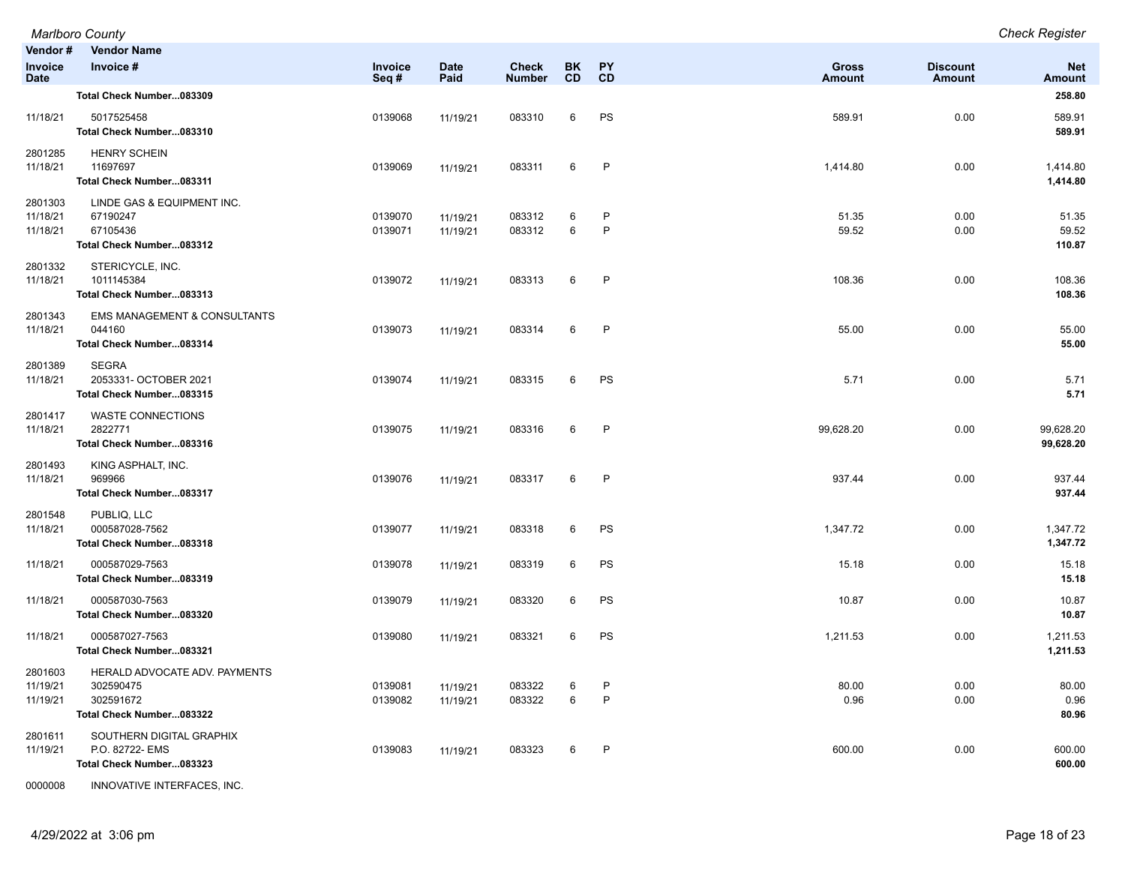| Vendor #<br>Invoice<br>Date     | <b>Vendor Name</b><br>Invoice #                                                     | Invoice<br>Seq#    | <b>Date</b><br>Paid  | <b>Check</b><br><b>Number</b> | <b>BK</b><br><b>CD</b> | PY<br>CD     | <b>Gross</b><br><b>Amount</b> | <b>Discount</b><br><b>Amount</b> | <b>Net</b><br><b>Amount</b> |
|---------------------------------|-------------------------------------------------------------------------------------|--------------------|----------------------|-------------------------------|------------------------|--------------|-------------------------------|----------------------------------|-----------------------------|
|                                 | Total Check Number083309                                                            |                    |                      |                               |                        |              |                               |                                  | 258.80                      |
| 11/18/21                        | 5017525458<br>Total Check Number083310                                              | 0139068            | 11/19/21             | 083310                        | 6                      | PS           | 589.91                        | 0.00                             | 589.91<br>589.91            |
| 2801285<br>11/18/21             | <b>HENRY SCHEIN</b><br>11697697<br>Total Check Number083311                         | 0139069            | 11/19/21             | 083311                        | 6                      | P            | 1,414.80                      | 0.00                             | 1,414.80<br>1,414.80        |
| 2801303<br>11/18/21<br>11/18/21 | LINDE GAS & EQUIPMENT INC.<br>67190247<br>67105436<br>Total Check Number083312      | 0139070<br>0139071 | 11/19/21<br>11/19/21 | 083312<br>083312              | 6<br>6                 | P<br>P       | 51.35<br>59.52                | 0.00<br>0.00                     | 51.35<br>59.52<br>110.87    |
| 2801332<br>11/18/21             | STERICYCLE, INC.<br>1011145384<br>Total Check Number083313                          | 0139072            | 11/19/21             | 083313                        | 6                      | P            | 108.36                        | 0.00                             | 108.36<br>108.36            |
| 2801343<br>11/18/21             | <b>EMS MANAGEMENT &amp; CONSULTANTS</b><br>044160<br>Total Check Number083314       | 0139073            | 11/19/21             | 083314                        | 6                      | P            | 55.00                         | 0.00                             | 55.00<br>55.00              |
| 2801389<br>11/18/21             | <b>SEGRA</b><br>2053331- OCTOBER 2021<br>Total Check Number083315                   | 0139074            | 11/19/21             | 083315                        | 6                      | PS           | 5.71                          | 0.00                             | 5.71<br>5.71                |
| 2801417<br>11/18/21             | <b>WASTE CONNECTIONS</b><br>2822771<br>Total Check Number083316                     | 0139075            | 11/19/21             | 083316                        | 6                      | $\mathsf{P}$ | 99,628.20                     | 0.00                             | 99,628.20<br>99,628.20      |
| 2801493<br>11/18/21             | KING ASPHALT, INC.<br>969966<br>Total Check Number083317                            | 0139076            | 11/19/21             | 083317                        | 6                      | P            | 937.44                        | 0.00                             | 937.44<br>937.44            |
| 2801548<br>11/18/21             | PUBLIQ, LLC<br>000587028-7562<br>Total Check Number083318                           | 0139077            | 11/19/21             | 083318                        | 6                      | PS           | 1,347.72                      | 0.00                             | 1,347.72<br>1,347.72        |
| 11/18/21                        | 000587029-7563<br>Total Check Number083319                                          | 0139078            | 11/19/21             | 083319                        | 6                      | PS           | 15.18                         | 0.00                             | 15.18<br>15.18              |
| 11/18/21                        | 000587030-7563<br>Total Check Number083320                                          | 0139079            | 11/19/21             | 083320                        | 6                      | PS           | 10.87                         | 0.00                             | 10.87<br>10.87              |
| 11/18/21                        | 000587027-7563<br>Total Check Number083321                                          | 0139080            | 11/19/21             | 083321                        | 6                      | PS           | 1,211.53                      | 0.00                             | 1,211.53<br>1,211.53        |
| 2801603<br>11/19/21<br>11/19/21 | HERALD ADVOCATE ADV. PAYMENTS<br>302590475<br>302591672<br>Total Check Number083322 | 0139081<br>0139082 | 11/19/21<br>11/19/21 | 083322<br>083322              | 6<br>6                 | P<br>P       | 80.00<br>0.96                 | 0.00<br>0.00                     | 80.00<br>0.96<br>80.96      |
| 2801611<br>11/19/21             | SOUTHERN DIGITAL GRAPHIX<br>P.O. 82722- EMS<br>Total Check Number083323             | 0139083            | 11/19/21             | 083323                        | 6                      | P            | 600.00                        | 0.00                             | 600.00<br>600.00            |

0000008 INNOVATIVE INTERFACES, INC.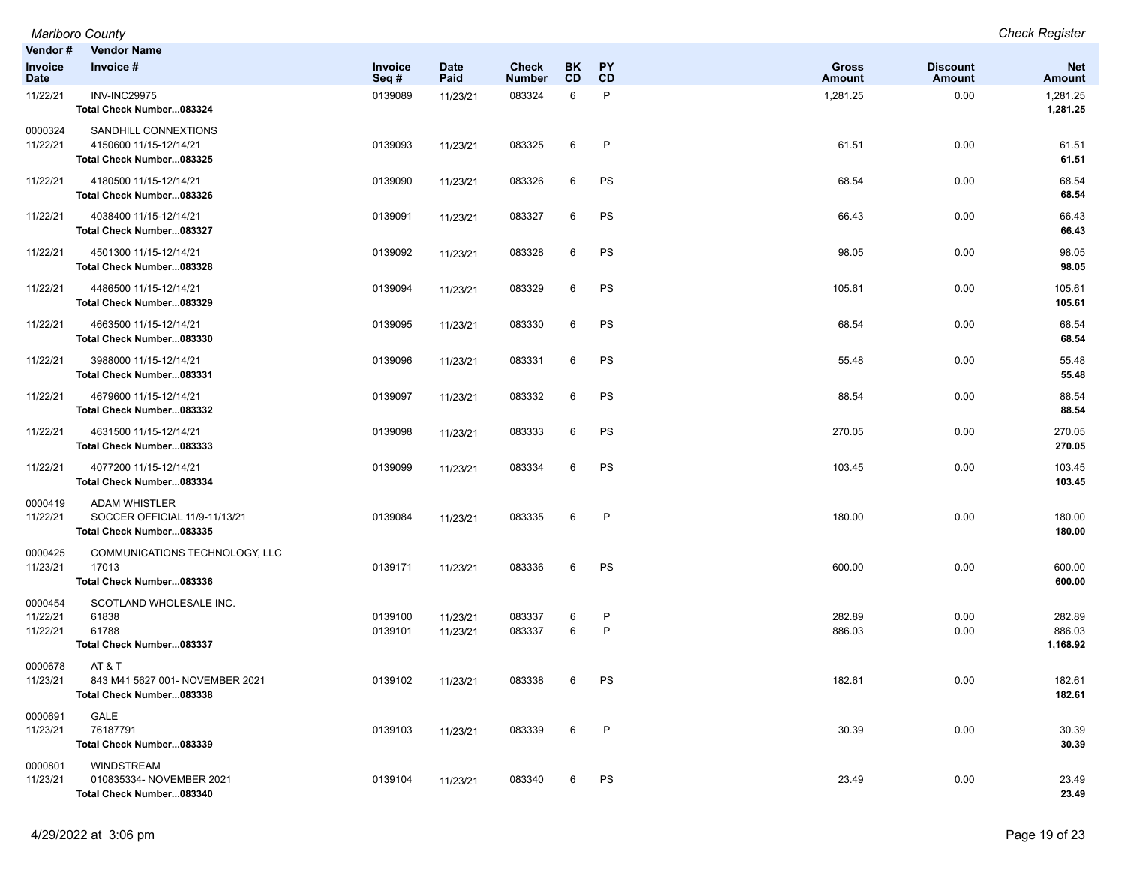| Vendor #<br>Invoice<br><b>Date</b> | <b>Vendor Name</b><br>Invoice #                                                   | Invoice<br>Seq#    | <b>Date</b><br>Paid  | Check<br>Number  | BK<br>CD | PY<br>CD          | <b>Gross</b><br><b>Amount</b> | <b>Discount</b><br><b>Amount</b> | <b>Net</b><br>Amount         |
|------------------------------------|-----------------------------------------------------------------------------------|--------------------|----------------------|------------------|----------|-------------------|-------------------------------|----------------------------------|------------------------------|
| 11/22/21                           | <b>INV-INC29975</b><br>Total Check Number083324                                   | 0139089            | 11/23/21             | 083324           | 6        | $\mathsf{P}$      | 1,281.25                      | 0.00                             | 1,281.25<br>1,281.25         |
| 0000324<br>11/22/21                | SANDHILL CONNEXTIONS<br>4150600 11/15-12/14/21<br>Total Check Number083325        | 0139093            | 11/23/21             | 083325           | 6        | P                 | 61.51                         | 0.00                             | 61.51<br>61.51               |
| 11/22/21                           | 4180500 11/15-12/14/21<br>Total Check Number083326                                | 0139090            | 11/23/21             | 083326           | 6        | PS                | 68.54                         | 0.00                             | 68.54<br>68.54               |
| 11/22/21                           | 4038400 11/15-12/14/21<br>Total Check Number083327                                | 0139091            | 11/23/21             | 083327           | 6        | PS                | 66.43                         | 0.00                             | 66.43<br>66.43               |
| 11/22/21                           | 4501300 11/15-12/14/21<br>Total Check Number083328                                | 0139092            | 11/23/21             | 083328           | 6        | PS                | 98.05                         | 0.00                             | 98.05<br>98.05               |
| 11/22/21                           | 4486500 11/15-12/14/21<br>Total Check Number083329                                | 0139094            | 11/23/21             | 083329           | 6        | PS                | 105.61                        | 0.00                             | 105.61<br>105.61             |
| 11/22/21                           | 4663500 11/15-12/14/21<br>Total Check Number083330                                | 0139095            | 11/23/21             | 083330           | 6        | PS                | 68.54                         | 0.00                             | 68.54<br>68.54               |
| 11/22/21                           | 3988000 11/15-12/14/21<br>Total Check Number083331                                | 0139096            | 11/23/21             | 083331           | 6        | PS                | 55.48                         | 0.00                             | 55.48<br>55.48               |
| 11/22/21                           | 4679600 11/15-12/14/21<br>Total Check Number083332                                | 0139097            | 11/23/21             | 083332           | 6        | PS                | 88.54                         | 0.00                             | 88.54<br>88.54               |
| 11/22/21                           | 4631500 11/15-12/14/21<br>Total Check Number083333                                | 0139098            | 11/23/21             | 083333           | 6        | PS                | 270.05                        | 0.00                             | 270.05<br>270.05             |
| 11/22/21                           | 4077200 11/15-12/14/21<br>Total Check Number083334                                | 0139099            | 11/23/21             | 083334           | 6        | PS                | 103.45                        | 0.00                             | 103.45<br>103.45             |
| 0000419<br>11/22/21                | <b>ADAM WHISTLER</b><br>SOCCER OFFICIAL 11/9-11/13/21<br>Total Check Number083335 | 0139084            | 11/23/21             | 083335           | 6        | P                 | 180.00                        | 0.00                             | 180.00<br>180.00             |
| 0000425<br>11/23/21                | COMMUNICATIONS TECHNOLOGY, LLC<br>17013<br>Total Check Number083336               | 0139171            | 11/23/21             | 083336           | 6        | PS                | 600.00                        | 0.00                             | 600.00<br>600.00             |
| 0000454<br>11/22/21<br>11/22/21    | SCOTLAND WHOLESALE INC.<br>61838<br>61788<br>Total Check Number083337             | 0139100<br>0139101 | 11/23/21<br>11/23/21 | 083337<br>083337 | 6<br>6   | P<br>$\mathsf{P}$ | 282.89<br>886.03              | 0.00<br>0.00                     | 282.89<br>886.03<br>1,168.92 |
| 0000678<br>11/23/21                | AT & T<br>843 M41 5627 001- NOVEMBER 2021<br>Total Check Number083338             | 0139102            | 11/23/21             | 083338           | 6        | PS                | 182.61                        | 0.00                             | 182.61<br>182.61             |
| 0000691<br>11/23/21                | GALE<br>76187791<br>Total Check Number083339                                      | 0139103            | 11/23/21             | 083339           | 6        | P                 | 30.39                         | 0.00                             | 30.39<br>30.39               |
| 0000801<br>11/23/21                | WINDSTREAM<br>010835334- NOVEMBER 2021<br>Total Check Number083340                | 0139104            | 11/23/21             | 083340           | 6        | PS                | 23.49                         | 0.00                             | 23.49<br>23.49               |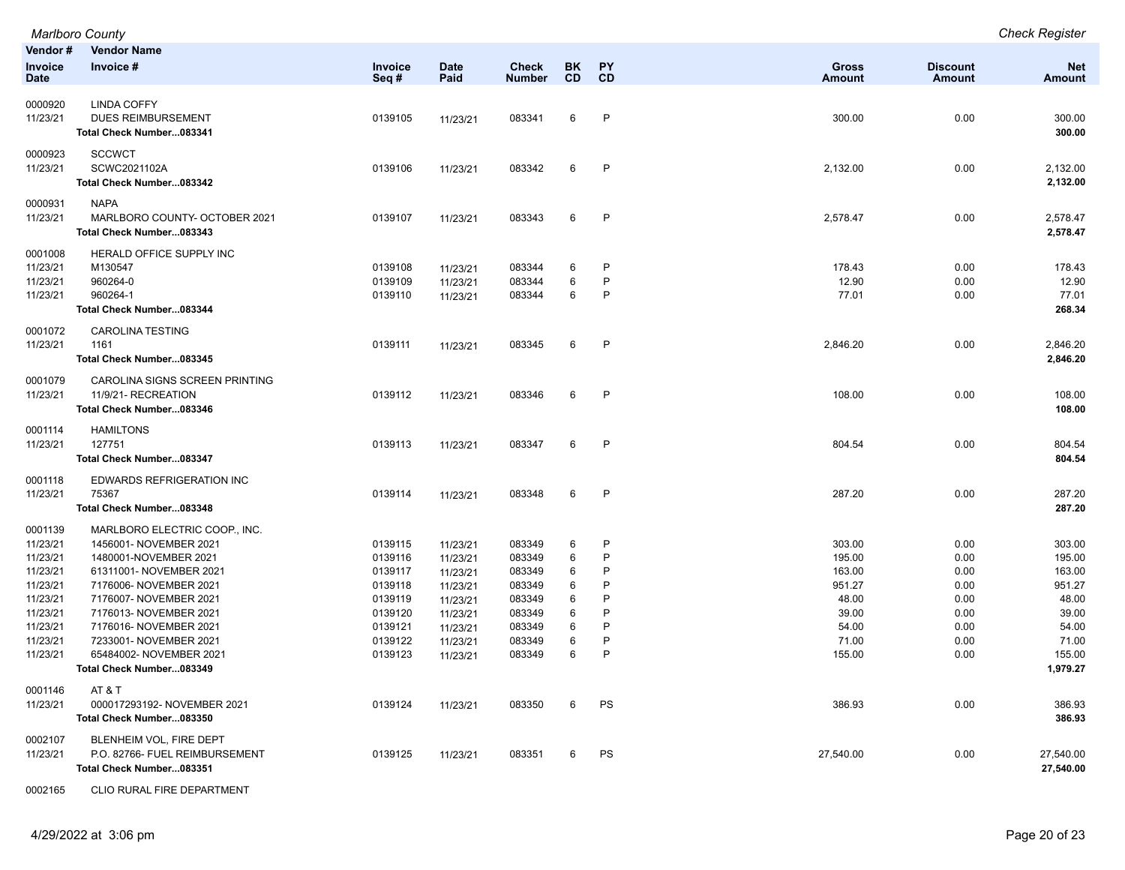|             | Marlboro County                |         |             |               |           |              |               |                 | <b>Check Register</b> |
|-------------|--------------------------------|---------|-------------|---------------|-----------|--------------|---------------|-----------------|-----------------------|
| Vendor#     | <b>Vendor Name</b>             |         |             |               |           |              |               |                 |                       |
| Invoice     | Invoice #                      | Invoice | <b>Date</b> | <b>Check</b>  | BK        | PY           | <b>Gross</b>  | <b>Discount</b> | <b>Net</b>            |
| <b>Date</b> |                                | Seq#    | Paid        | <b>Number</b> | <b>CD</b> | CD           | <b>Amount</b> | <b>Amount</b>   | <b>Amount</b>         |
| 0000920     | <b>LINDA COFFY</b>             |         |             |               |           |              |               |                 |                       |
| 11/23/21    | <b>DUES REIMBURSEMENT</b>      | 0139105 | 11/23/21    | 083341        | 6         | $\mathsf{P}$ | 300.00        | 0.00            | 300.00                |
|             | Total Check Number083341       |         |             |               |           |              |               |                 | 300.00                |
|             |                                |         |             |               |           |              |               |                 |                       |
| 0000923     | <b>SCCWCT</b>                  |         |             |               |           |              |               |                 |                       |
| 11/23/21    | SCWC2021102A                   | 0139106 | 11/23/21    | 083342        | 6         | $\mathsf{P}$ | 2,132.00      | 0.00            | 2,132.00              |
|             | Total Check Number083342       |         |             |               |           |              |               |                 | 2,132.00              |
| 0000931     | <b>NAPA</b>                    |         |             |               |           |              |               |                 |                       |
| 11/23/21    | MARLBORO COUNTY- OCTOBER 2021  | 0139107 | 11/23/21    | 083343        | 6         | $\mathsf{P}$ | 2,578.47      | 0.00            | 2,578.47              |
|             | Total Check Number083343       |         |             |               |           |              |               |                 | 2,578.47              |
| 0001008     | HERALD OFFICE SUPPLY INC       |         |             |               |           |              |               |                 |                       |
| 11/23/21    | M130547                        | 0139108 | 11/23/21    | 083344        | 6         | P            | 178.43        | 0.00            | 178.43                |
| 11/23/21    | 960264-0                       | 0139109 | 11/23/21    | 083344        | 6         | P            | 12.90         | 0.00            | 12.90                 |
| 11/23/21    | 960264-1                       | 0139110 | 11/23/21    | 083344        | 6         | P            | 77.01         | 0.00            | 77.01                 |
|             | Total Check Number083344       |         |             |               |           |              |               |                 | 268.34                |
| 0001072     | <b>CAROLINA TESTING</b>        |         |             |               |           |              |               |                 |                       |
| 11/23/21    | 1161                           | 0139111 | 11/23/21    | 083345        | 6         | $\mathsf{P}$ | 2,846.20      | 0.00            | 2,846.20              |
|             | Total Check Number083345       |         |             |               |           |              |               |                 | 2,846.20              |
| 0001079     | CAROLINA SIGNS SCREEN PRINTING |         |             |               |           |              |               |                 |                       |
| 11/23/21    | 11/9/21- RECREATION            | 0139112 | 11/23/21    | 083346        | 6         | P            | 108.00        | 0.00            | 108.00                |
|             | Total Check Number083346       |         |             |               |           |              |               |                 | 108.00                |
| 0001114     | <b>HAMILTONS</b>               |         |             |               |           |              |               |                 |                       |
| 11/23/21    | 127751                         | 0139113 | 11/23/21    | 083347        | 6         | $\mathsf{P}$ | 804.54        | 0.00            | 804.54                |
|             | Total Check Number083347       |         |             |               |           |              |               |                 | 804.54                |
| 0001118     | EDWARDS REFRIGERATION INC      |         |             |               |           |              |               |                 |                       |
| 11/23/21    | 75367                          | 0139114 | 11/23/21    | 083348        | 6         | $\mathsf{P}$ | 287.20        | 0.00            | 287.20                |
|             | Total Check Number083348       |         |             |               |           |              |               |                 | 287.20                |
| 0001139     | MARLBORO ELECTRIC COOP., INC.  |         |             |               |           |              |               |                 |                       |
| 11/23/21    | 1456001- NOVEMBER 2021         | 0139115 | 11/23/21    | 083349        | 6         | P            | 303.00        | 0.00            | 303.00                |
| 11/23/21    | 1480001-NOVEMBER 2021          | 0139116 | 11/23/21    | 083349        | 6         | P            | 195.00        | 0.00            | 195.00                |
| 11/23/21    | 61311001- NOVEMBER 2021        | 0139117 | 11/23/21    | 083349        | 6         | P            | 163.00        | 0.00            | 163.00                |
| 11/23/21    | 7176006- NOVEMBER 2021         | 0139118 | 11/23/21    | 083349        | 6         | P            | 951.27        | 0.00            | 951.27                |
| 11/23/21    | 7176007- NOVEMBER 2021         | 0139119 | 11/23/21    | 083349        | 6         | P            | 48.00         | 0.00            | 48.00                 |
| 11/23/21    | 7176013- NOVEMBER 2021         | 0139120 | 11/23/21    | 083349        | 6         | P            | 39.00         | 0.00            | 39.00                 |
| 11/23/21    | 7176016- NOVEMBER 2021         | 0139121 | 11/23/21    | 083349        | 6         | P            | 54.00         | 0.00            | 54.00                 |
| 11/23/21    | 7233001- NOVEMBER 2021         | 0139122 | 11/23/21    | 083349        | 6         | P            | 71.00         | 0.00            | 71.00                 |
| 11/23/21    | 65484002- NOVEMBER 2021        | 0139123 | 11/23/21    | 083349        | 6         | P            | 155.00        | 0.00            | 155.00                |
|             | Total Check Number083349       |         |             |               |           |              |               |                 | 1,979.27              |
| 0001146     | AT&T                           |         |             |               |           |              |               |                 |                       |
| 11/23/21    | 000017293192- NOVEMBER 2021    | 0139124 | 11/23/21    | 083350        | 6         | PS           | 386.93        | 0.00            | 386.93                |
|             | Total Check Number083350       |         |             |               |           |              |               |                 | 386.93                |
| 0002107     | BLENHEIM VOL, FIRE DEPT        |         |             |               |           |              |               |                 |                       |
| 11/23/21    | P.O. 82766- FUEL REIMBURSEMENT | 0139125 | 11/23/21    | 083351        | 6         | PS           | 27,540.00     | 0.00            | 27,540.00             |
|             | Total Check Number083351       |         |             |               |           |              |               |                 | 27,540.00             |
| 0002165     | CLIO RURAL FIRE DEPARTMENT     |         |             |               |           |              |               |                 |                       |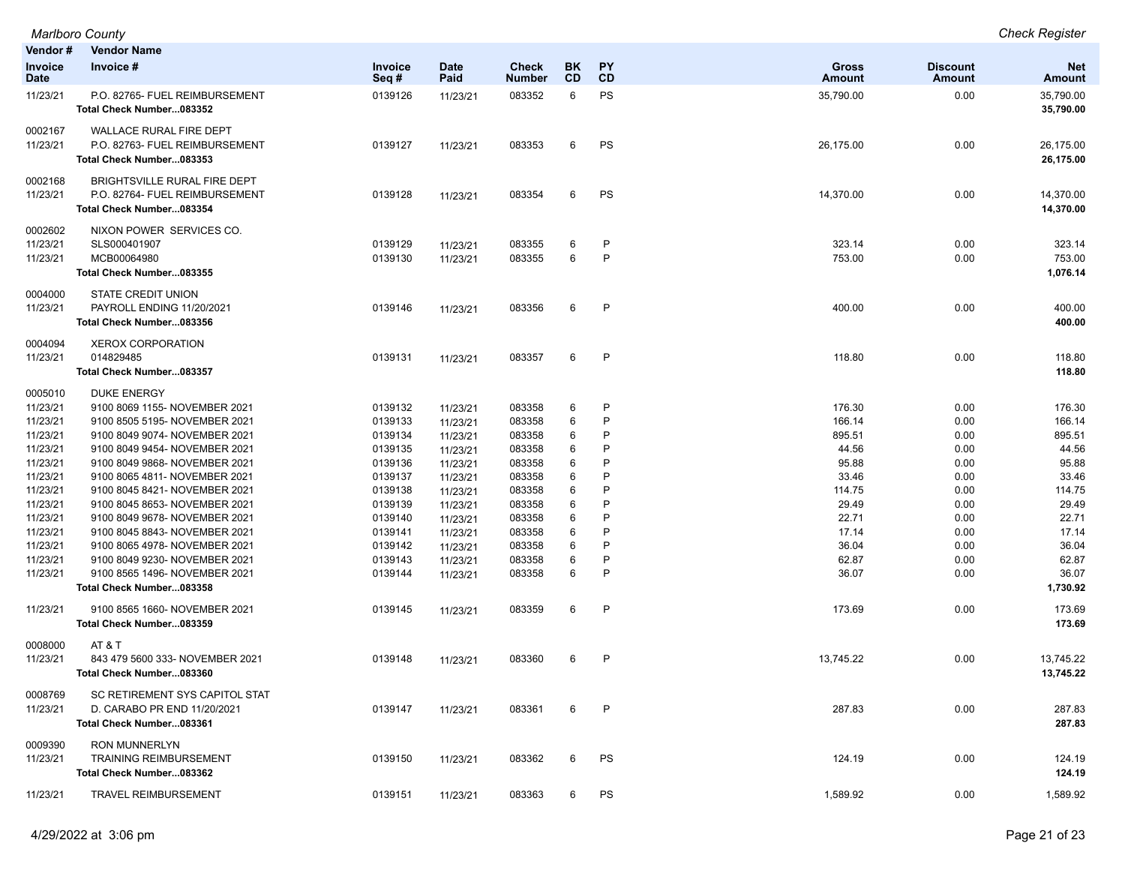| Vendor #<br>Invoice<br>Date      | <b>Vendor Name</b><br>Invoice #                                                                 | <b>Invoice</b><br>Seq#        | <b>Date</b><br>Paid              | Check<br><b>Number</b>     | <b>BK</b><br><b>CD</b> | <b>PY</b><br><b>CD</b> | Gross<br>Amount          | <b>Discount</b><br><b>Amount</b> | <b>Net</b><br><b>Amount</b>  |
|----------------------------------|-------------------------------------------------------------------------------------------------|-------------------------------|----------------------------------|----------------------------|------------------------|------------------------|--------------------------|----------------------------------|------------------------------|
| 11/23/21                         | P.O. 82765- FUEL REIMBURSEMENT<br>Total Check Number083352                                      | 0139126                       | 11/23/21                         | 083352                     | 6                      | PS                     | 35,790.00                | 0.00                             | 35,790.00<br>35,790.00       |
| 0002167<br>11/23/21              | WALLACE RURAL FIRE DEPT<br>P.O. 82763- FUEL REIMBURSEMENT<br>Total Check Number083353           | 0139127                       | 11/23/21                         | 083353                     | 6                      | PS                     | 26,175.00                | 0.00                             | 26,175.00<br>26,175.00       |
| 0002168<br>11/23/21              | BRIGHTSVILLE RURAL FIRE DEPT<br>P.O. 82764- FUEL REIMBURSEMENT<br>Total Check Number083354      | 0139128                       | 11/23/21                         | 083354                     | 6                      | PS                     | 14,370.00                | 0.00                             | 14,370.00<br>14,370.00       |
| 0002602<br>11/23/21<br>11/23/21  | NIXON POWER SERVICES CO.<br>SLS000401907<br>MCB00064980<br>Total Check Number083355             | 0139129<br>0139130            | 11/23/21<br>11/23/21             | 083355<br>083355           | 6<br>6                 | P<br>P                 | 323.14<br>753.00         | 0.00<br>0.00                     | 323.14<br>753.00<br>1,076.14 |
| 0004000<br>11/23/21              | <b>STATE CREDIT UNION</b><br>PAYROLL ENDING 11/20/2021<br>Total Check Number083356              | 0139146                       | 11/23/21                         | 083356                     | 6                      | P                      | 400.00                   | 0.00                             | 400.00<br>400.00             |
| 0004094<br>11/23/21              | <b>XEROX CORPORATION</b><br>014829485<br>Total Check Number083357                               | 0139131                       | 11/23/21                         | 083357                     | 6                      | P                      | 118.80                   | 0.00                             | 118.80<br>118.80             |
| 0005010<br>11/23/21<br>11/23/21  | <b>DUKE ENERGY</b><br>9100 8069 1155- NOVEMBER 2021<br>9100 8505 5195- NOVEMBER 2021            | 0139132<br>0139133            | 11/23/21<br>11/23/21             | 083358<br>083358           | 6<br>6                 | P<br>P                 | 176.30<br>166.14         | 0.00<br>0.00                     | 176.30<br>166.14             |
| 11/23/21<br>11/23/21             | 9100 8049 9074- NOVEMBER 2021<br>9100 8049 9454- NOVEMBER 2021                                  | 0139134<br>0139135            | 11/23/21<br>11/23/21             | 083358<br>083358           | 6<br>6                 | P<br>P<br>P            | 895.51<br>44.56          | 0.00<br>0.00                     | 895.51<br>44.56              |
| 11/23/21<br>11/23/21<br>11/23/21 | 9100 8049 9868- NOVEMBER 2021<br>9100 8065 4811- NOVEMBER 2021<br>9100 8045 8421- NOVEMBER 2021 | 0139136<br>0139137<br>0139138 | 11/23/21<br>11/23/21<br>11/23/21 | 083358<br>083358<br>083358 | 6<br>6<br>6            | P<br>P                 | 95.88<br>33.46<br>114.75 | 0.00<br>0.00<br>0.00             | 95.88<br>33.46<br>114.75     |
| 11/23/21<br>11/23/21<br>11/23/21 | 9100 8045 8653- NOVEMBER 2021<br>9100 8049 9678- NOVEMBER 2021<br>9100 8045 8843- NOVEMBER 2021 | 0139139<br>0139140<br>0139141 | 11/23/21<br>11/23/21<br>11/23/21 | 083358<br>083358<br>083358 | 6<br>6<br>6            | P<br>P<br>P            | 29.49<br>22.71<br>17.14  | 0.00<br>0.00<br>0.00             | 29.49<br>22.71<br>17.14      |
| 11/23/21<br>11/23/21<br>11/23/21 | 9100 8065 4978- NOVEMBER 2021<br>9100 8049 9230- NOVEMBER 2021<br>9100 8565 1496- NOVEMBER 2021 | 0139142<br>0139143<br>0139144 | 11/23/21<br>11/23/21<br>11/23/21 | 083358<br>083358<br>083358 | 6<br>6<br>6            | P<br>P<br>P            | 36.04<br>62.87<br>36.07  | 0.00<br>0.00<br>0.00             | 36.04<br>62.87<br>36.07      |
| 11/23/21                         | Total Check Number083358<br>9100 8565 1660- NOVEMBER 2021                                       | 0139145                       | 11/23/21                         | 083359                     | 6                      | P                      | 173.69                   | 0.00                             | 1,730.92<br>173.69           |
| 0008000                          | Total Check Number083359<br>AT & T                                                              |                               |                                  |                            |                        |                        |                          |                                  | 173.69                       |
| 11/23/21                         | 843 479 5600 333- NOVEMBER 2021<br>Total Check Number083360                                     | 0139148                       | 11/23/21                         | 083360                     | 6                      | P                      | 13,745.22                | 0.00                             | 13,745.22<br>13,745.22       |
| 0008769<br>11/23/21              | SC RETIREMENT SYS CAPITOL STAT<br>D. CARABO PR END 11/20/2021<br>Total Check Number083361       | 0139147                       | 11/23/21                         | 083361                     | 6                      | P                      | 287.83                   | 0.00                             | 287.83<br>287.83             |
| 0009390<br>11/23/21              | <b>RON MUNNERLYN</b><br><b>TRAINING REIMBURSEMENT</b><br>Total Check Number083362               | 0139150                       | 11/23/21                         | 083362                     | 6                      | PS                     | 124.19                   | 0.00                             | 124.19<br>124.19             |
| 11/23/21                         | <b>TRAVEL REIMBURSEMENT</b>                                                                     | 0139151                       | 11/23/21                         | 083363                     | 6                      | PS                     | 1,589.92                 | 0.00                             | 1,589.92                     |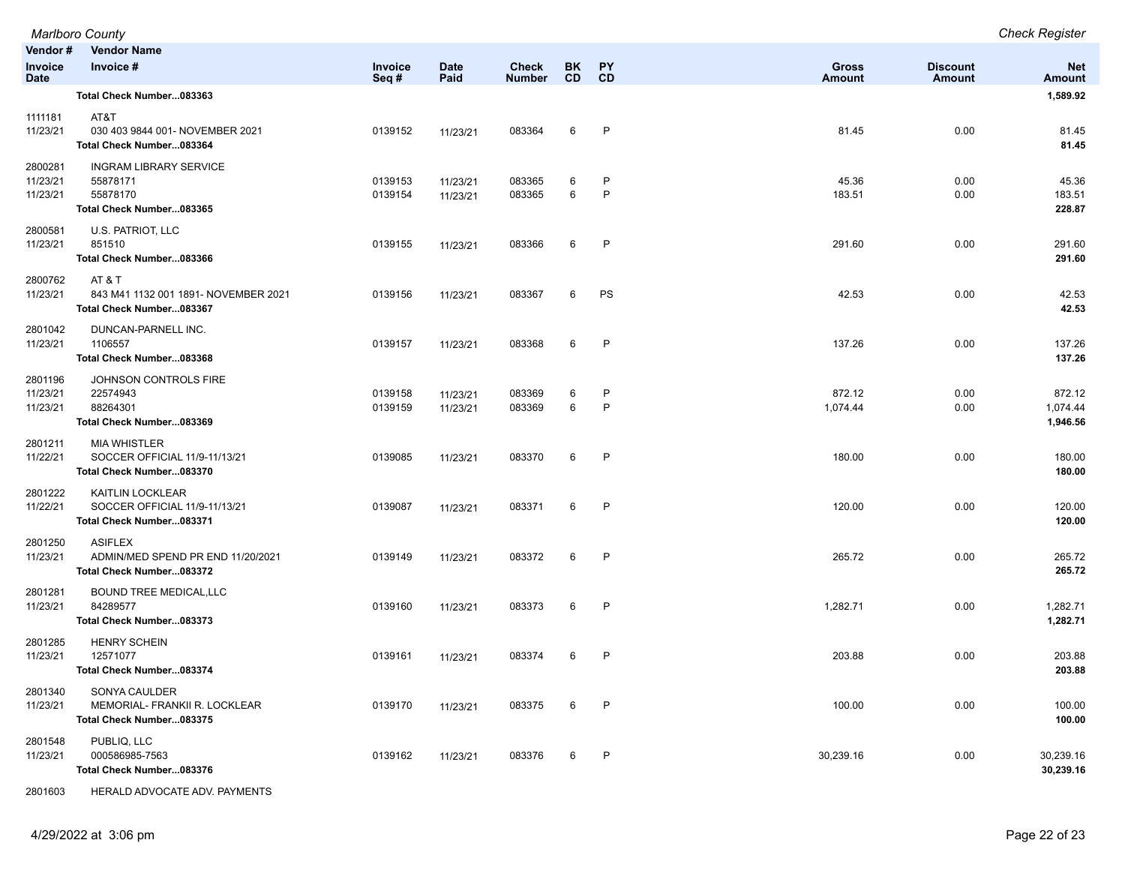| Marlboro County                   |                                                                                      |                    |                      |                               |                 |                              |                               | <b>Check Register</b>     |                                |
|-----------------------------------|--------------------------------------------------------------------------------------|--------------------|----------------------|-------------------------------|-----------------|------------------------------|-------------------------------|---------------------------|--------------------------------|
| Vendor#<br>Invoice<br><b>Date</b> | <b>Vendor Name</b><br>Invoice #                                                      | Invoice<br>Seq#    | <b>Date</b><br>Paid  | <b>Check</b><br><b>Number</b> | BK<br><b>CD</b> | <b>PY</b><br>CD              | <b>Gross</b><br><b>Amount</b> | <b>Discount</b><br>Amount | <b>Net</b><br><b>Amount</b>    |
|                                   | Total Check Number083363                                                             |                    |                      |                               |                 |                              |                               |                           | 1,589.92                       |
| 1111181<br>11/23/21               | AT&T<br>030 403 9844 001- NOVEMBER 2021<br>Total Check Number083364                  | 0139152            | 11/23/21             | 083364                        | 6               | $\mathsf{P}$                 | 81.45                         | 0.00                      | 81.45<br>81.45                 |
| 2800281<br>11/23/21<br>11/23/21   | <b>INGRAM LIBRARY SERVICE</b><br>55878171<br>55878170<br>Total Check Number083365    | 0139153<br>0139154 | 11/23/21<br>11/23/21 | 083365<br>083365              | 6<br>6          | $\mathsf{P}$<br>$\mathsf{P}$ | 45.36<br>183.51               | 0.00<br>0.00              | 45.36<br>183.51<br>228.87      |
| 2800581<br>11/23/21               | U.S. PATRIOT, LLC<br>851510<br>Total Check Number083366                              | 0139155            | 11/23/21             | 083366                        | 6               | P                            | 291.60                        | 0.00                      | 291.60<br>291.60               |
| 2800762<br>11/23/21               | AT & T<br>843 M41 1132 001 1891- NOVEMBER 2021<br>Total Check Number083367           | 0139156            | 11/23/21             | 083367                        | 6               | PS                           | 42.53                         | 0.00                      | 42.53<br>42.53                 |
| 2801042<br>11/23/21               | DUNCAN-PARNELL INC.<br>1106557<br>Total Check Number083368                           | 0139157            | 11/23/21             | 083368                        | 6               | $\mathsf{P}$                 | 137.26                        | 0.00                      | 137.26<br>137.26               |
| 2801196<br>11/23/21<br>11/23/21   | JOHNSON CONTROLS FIRE<br>22574943<br>88264301<br>Total Check Number083369            | 0139158<br>0139159 | 11/23/21<br>11/23/21 | 083369<br>083369              | 6<br>6          | P<br>$\mathsf{P}$            | 872.12<br>1,074.44            | 0.00<br>0.00              | 872.12<br>1,074.44<br>1,946.56 |
| 2801211<br>11/22/21               | <b>MIA WHISTLER</b><br>SOCCER OFFICIAL 11/9-11/13/21<br>Total Check Number083370     | 0139085            | 11/23/21             | 083370                        | 6               | P                            | 180.00                        | 0.00                      | 180.00<br>180.00               |
| 2801222<br>11/22/21               | <b>KAITLIN LOCKLEAR</b><br>SOCCER OFFICIAL 11/9-11/13/21<br>Total Check Number083371 | 0139087            | 11/23/21             | 083371                        | 6               | $\mathsf{P}$                 | 120.00                        | 0.00                      | 120.00<br>120.00               |
| 2801250<br>11/23/21               | <b>ASIFLEX</b><br>ADMIN/MED SPEND PR END 11/20/2021<br>Total Check Number083372      | 0139149            | 11/23/21             | 083372                        | 6               | $\mathsf{P}$                 | 265.72                        | 0.00                      | 265.72<br>265.72               |
| 2801281<br>11/23/21               | <b>BOUND TREE MEDICAL, LLC</b><br>84289577<br>Total Check Number083373               | 0139160            | 11/23/21             | 083373                        | 6               | $\mathsf{P}$                 | 1,282.71                      | 0.00                      | 1,282.71<br>1,282.71           |
| 2801285<br>11/23/21               | <b>HENRY SCHEIN</b><br>12571077<br>Total Check Number083374                          | 0139161            | 11/23/21             | 083374                        | 6               | $\mathsf{P}$                 | 203.88                        | 0.00                      | 203.88<br>203.88               |
| 2801340<br>11/23/21               | SONYA CAULDER<br>MEMORIAL- FRANKII R. LOCKLEAR<br>Total Check Number083375           | 0139170            | 11/23/21             | 083375                        | 6               | P                            | 100.00                        | 0.00                      | 100.00<br>100.00               |
| 2801548<br>11/23/21               | PUBLIQ, LLC<br>000586985-7563<br>Total Check Number083376                            | 0139162            | 11/23/21             | 083376                        | 6               | P                            | 30,239.16                     | 0.00                      | 30,239.16<br>30,239.16         |
| 2801603                           | HERALD ADVOCATE ADV. PAYMENTS                                                        |                    |                      |                               |                 |                              |                               |                           |                                |